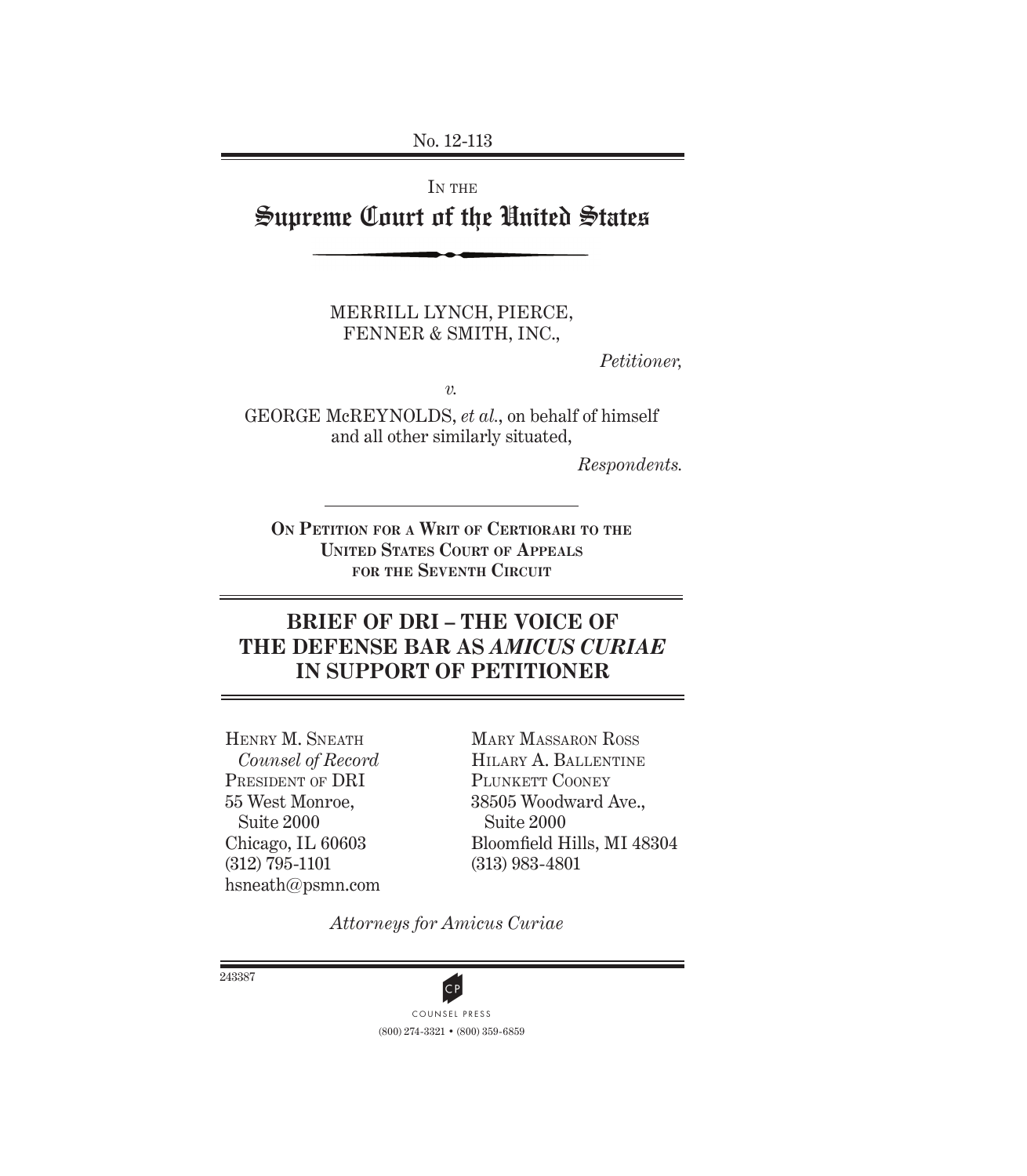No. 12-113

IN THE Supreme Court of the United States

> MERRILL LYNCH, PIERCE, FENNER & SMITH, INC.,

> > *Petitioner,*

*v.*

GEORGE McREYNOLDS, *et al.*, on behalf of himself and all other similarly situated,

*Respondents.*

**ON PETITION FOR A WRIT OF CERTIORARI TO THE UNITED STATES COURT OF APPEALS FOR THE SEVENTH CIRCUIT**

# **BRIEF OF DRI – THE VOICE OF THE DEFENSE BAR AS** *AMICUS CURIAE*  **IN SUPPORT OF PETITIONER**

HENRY M. SNEATH *Counsel of Record* PRESIDENT OF DRI 55 West Monroe, Suite 2000 Chicago, IL 60603 (312) 795-1101 hsneath@psmn.com

MARY MASSARON ROSS HILARY A. BALLENTINE PLUNKETT COONEY 38505 Woodward Ave., Suite 2000 Bloomfield Hills, MI 48304 (313) 983-4801

*Attorneys for Amicus Curiae*

243387



(800) 274-3321 • (800) 359-6859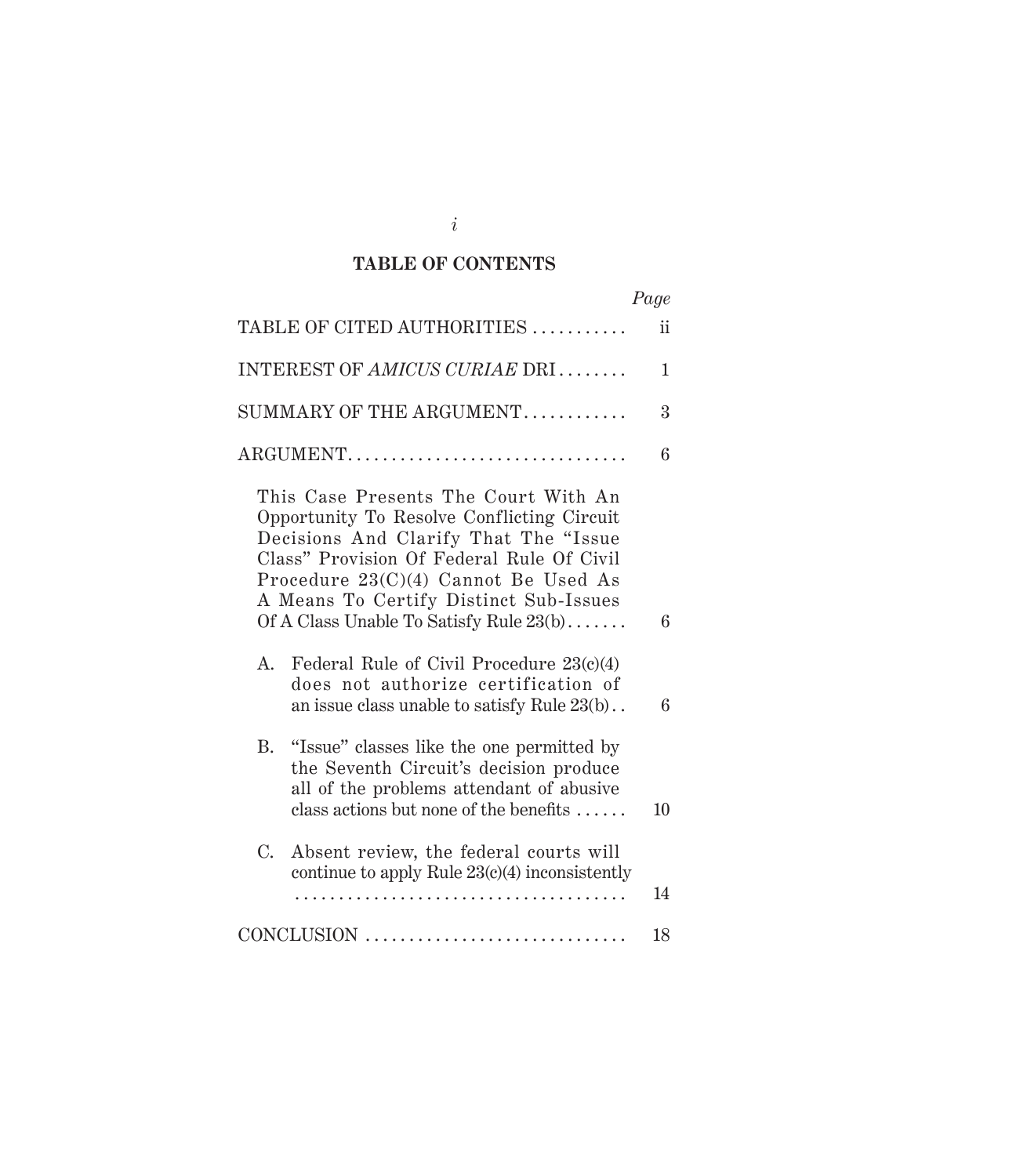#### **TABLE OF CONTENTS**

|                                                                                                                                                                                                                                                                                                       | Page |
|-------------------------------------------------------------------------------------------------------------------------------------------------------------------------------------------------------------------------------------------------------------------------------------------------------|------|
| TABLE OF CITED AUTHORITIES                                                                                                                                                                                                                                                                            | ii   |
| INTEREST OF AMICUS CURIAE DRI                                                                                                                                                                                                                                                                         | 1    |
| $SUMMARY$ OF THE ARGUMENT                                                                                                                                                                                                                                                                             | 3    |
| ARGUMENT                                                                                                                                                                                                                                                                                              | 6    |
| This Case Presents The Court With An<br>Opportunity To Resolve Conflicting Circuit<br>Decisions And Clarify That The "Issue<br>Class" Provision Of Federal Rule Of Civil<br>Procedure 23(C)(4) Cannot Be Used As<br>A Means To Certify Distinct Sub-Issues<br>Of A Class Unable To Satisfy Rule 23(b) | 6    |
| A.<br>Federal Rule of Civil Procedure 23(c)(4)<br>does not authorize certification of<br>an issue class unable to satisfy Rule 23(b)                                                                                                                                                                  | 6    |
| B. "Issue" classes like the one permitted by<br>the Seventh Circuit's decision produce<br>all of the problems attendant of abusive<br>class actions but none of the benefits $\dots$ .                                                                                                                | 10   |
| $C_{\cdot}$<br>Absent review, the federal courts will<br>continue to apply Rule 23(c)(4) inconsistently                                                                                                                                                                                               | 14   |
| CONCLUSION                                                                                                                                                                                                                                                                                            | 18   |

*i*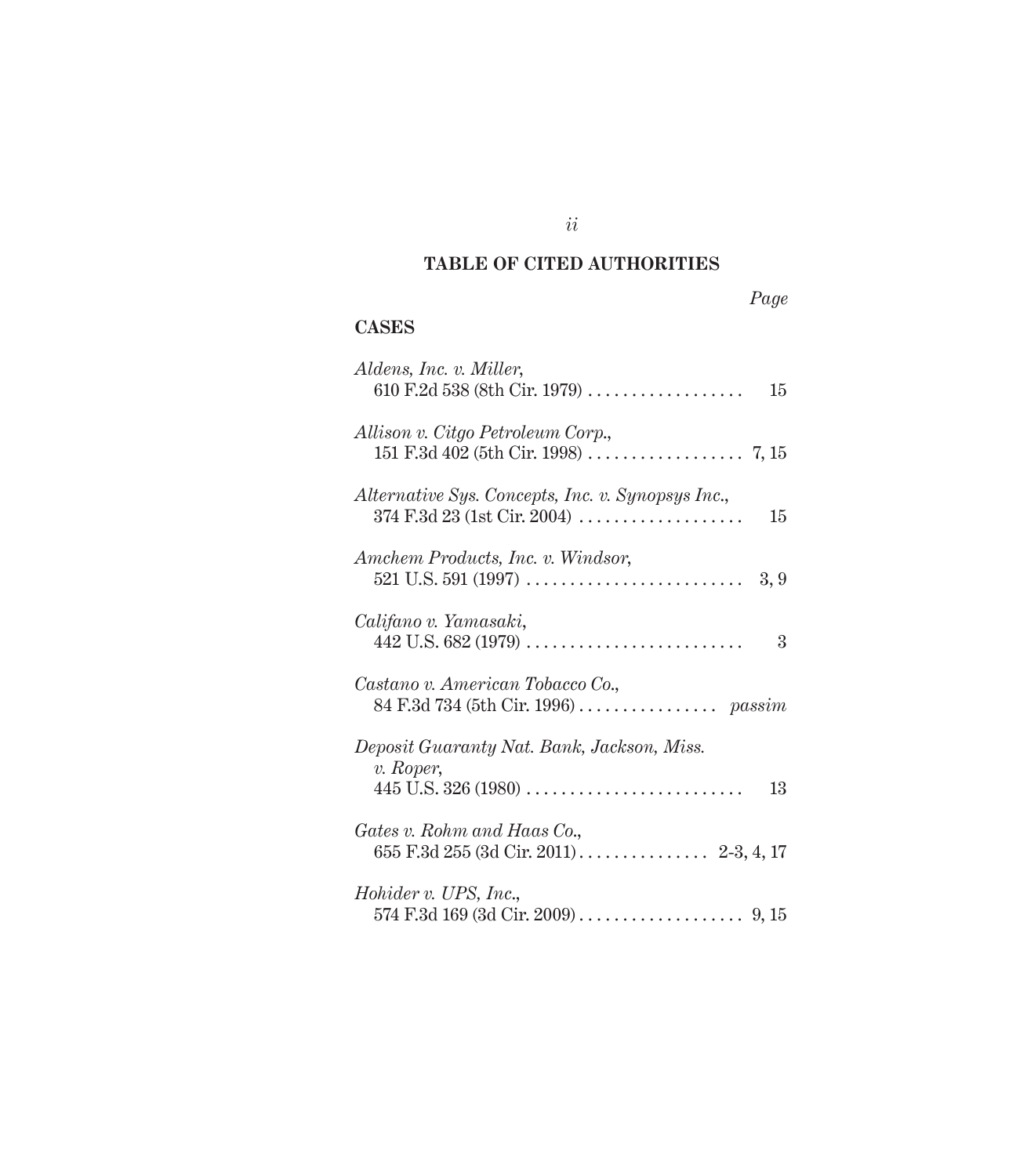### **TABLE OF CITED AUTHORITIES**

|--|

#### **CASES**

| Aldens, Inc. v. Miller,<br>610 F.2d 538 (8th Cir. 1979) $\ldots$<br>15                                                                                           |
|------------------------------------------------------------------------------------------------------------------------------------------------------------------|
| Allison v. Citgo Petroleum Corp.,                                                                                                                                |
| Alternative Sys. Concepts, Inc. v. Synopsys Inc.,<br>$374 \text{ F}.\overline{3}d \, 23 \, (\text{1st Cir. } 2004) \, \dots \dots \dots \dots \dots \dots$<br>15 |
| Amchem Products, Inc. v. Windsor,                                                                                                                                |
| Califano v. Yamasaki,<br>$442$ U.S. 682 (1979)<br>3                                                                                                              |
| Castano v. American Tobacco Co.,                                                                                                                                 |
| Deposit Guaranty Nat. Bank, Jackson, Miss.<br>v. Roper,                                                                                                          |
| 13                                                                                                                                                               |
| Gates v. Rohm and Haas Co.,                                                                                                                                      |
| Hohider v. UPS, Inc.,                                                                                                                                            |

*ii*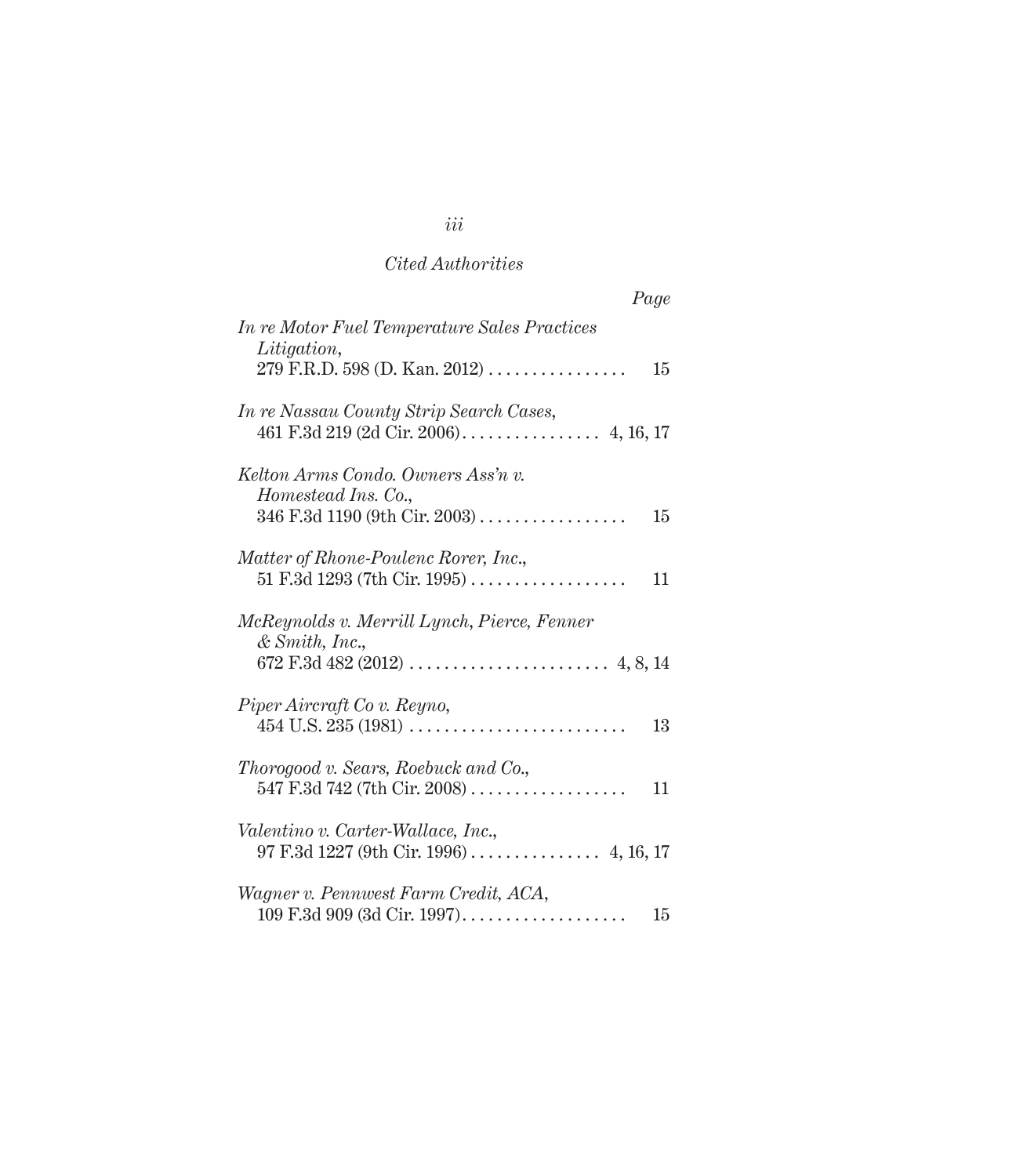|                                                                                              | Page |
|----------------------------------------------------------------------------------------------|------|
| In re Motor Fuel Temperature Sales Practices<br>Litigation,<br>279 F.R.D. 598 (D. Kan. 2012) | 15   |
| In re Nassau County Strip Search Cases,                                                      |      |
| Kelton Arms Condo. Owners Ass'n v.<br>Homestead Ins. Co.,                                    | 15   |
| Matter of Rhone-Poulenc Rorer, Inc.,                                                         | 11   |
| McReynolds v. Merrill Lynch, Pierce, Fenner<br>& Smith, Inc.,                                |      |
| Piper Aircraft Co v. Reyno,                                                                  | 13   |
| Thorogood v. Sears, Roebuck and Co.,                                                         | 11   |
| Valentino v. Carter-Wallace, Inc.,                                                           |      |
| Wagner v. Pennwest Farm Credit, ACA,                                                         | 15   |

# *iii*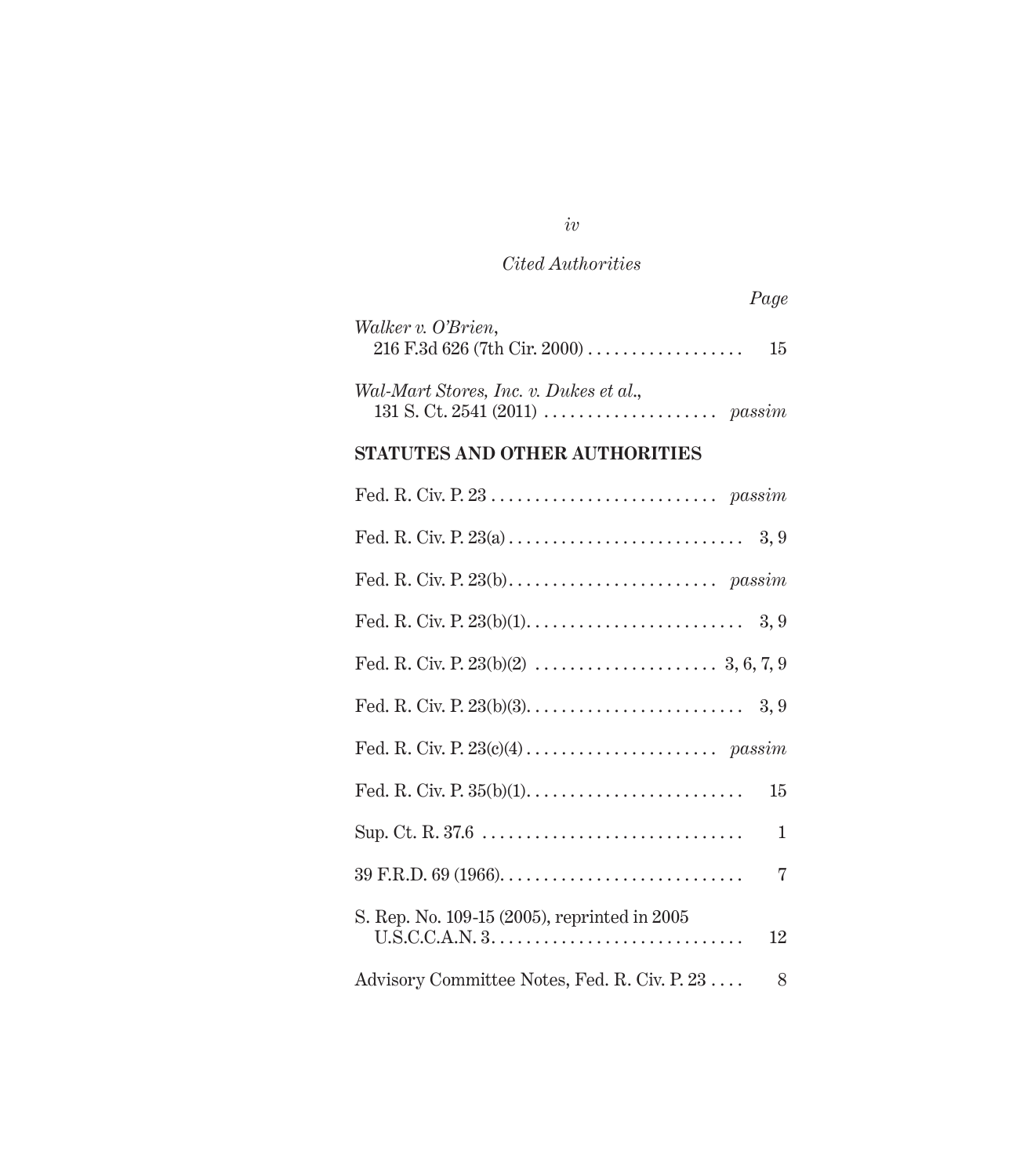| Page                                                       |  |
|------------------------------------------------------------|--|
| Walker v. O'Brien,<br>$216$ F.3d 626 (7th Cir. 2000)<br>15 |  |
| Wal-Mart Stores, Inc. v. Dukes et al.,                     |  |
| STATUTES AND OTHER AUTHORITIES                             |  |

| 15                                                                                                                                     |
|----------------------------------------------------------------------------------------------------------------------------------------|
| $\mathbf{1}$                                                                                                                           |
| 7                                                                                                                                      |
| S. Rep. No. 109-15 (2005), reprinted in 2005<br>$U.S.C.C.A.N. 3. \ldots \ldots \ldots \ldots \ldots \ldots \ldots \ldots \ldots$<br>12 |
| Advisory Committee Notes, Fed. R. Civ. P. 23<br>8                                                                                      |

*iv*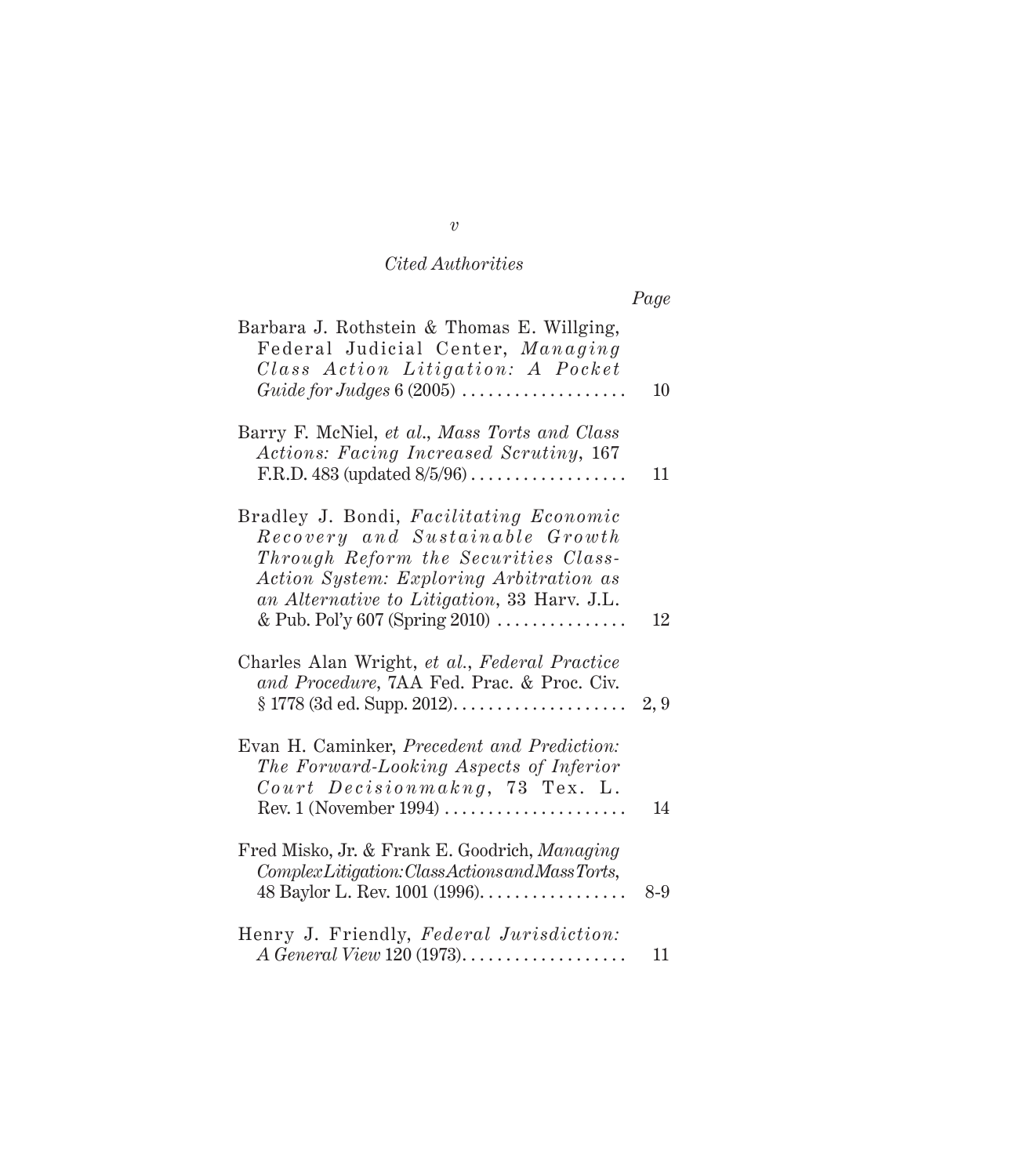|                                                                                                                                                                                                                                                                          | Page |
|--------------------------------------------------------------------------------------------------------------------------------------------------------------------------------------------------------------------------------------------------------------------------|------|
| Barbara J. Rothstein & Thomas E. Willging,<br>Federal Judicial Center, Managing<br>Class Action Litigation: A Pocket<br>Guide for Judges $6(2005)$                                                                                                                       | 10   |
| Barry F. McNiel, et al., Mass Torts and Class<br>Actions: Facing Increased Scrutiny, 167<br>F.R.D. 483 (updated $8/5/96$ )                                                                                                                                               | 11   |
| Bradley J. Bondi, Facilitating Economic<br>Recovery and Sustainable Growth<br>Through Reform the Securities Class-<br>Action System: Exploring Arbitration as<br>an Alternative to Litigation, 33 Harv. J.L.<br>& Pub. Pol'y 607 (Spring 2010) $\dots \dots \dots \dots$ | 12   |
| Charles Alan Wright, et al., Federal Practice<br>and Procedure, 7AA Fed. Prac. & Proc. Civ.                                                                                                                                                                              | 2, 9 |
| Evan H. Caminker, Precedent and Prediction:<br>The Forward-Looking Aspects of Inferior<br>Court Decisionmakng, 73 Tex. L.<br>$Rev. 1$ (November 1994)                                                                                                                    | 14   |
| Fred Misko, Jr. & Frank E. Goodrich, Managing<br>ComplexLitigation: ClassActions and Mass Torts,<br>48 Baylor L. Rev. 1001 (1996).                                                                                                                                       | 8-9  |
| Henry J. Friendly, Federal Jurisdiction:                                                                                                                                                                                                                                 | 11   |

*v*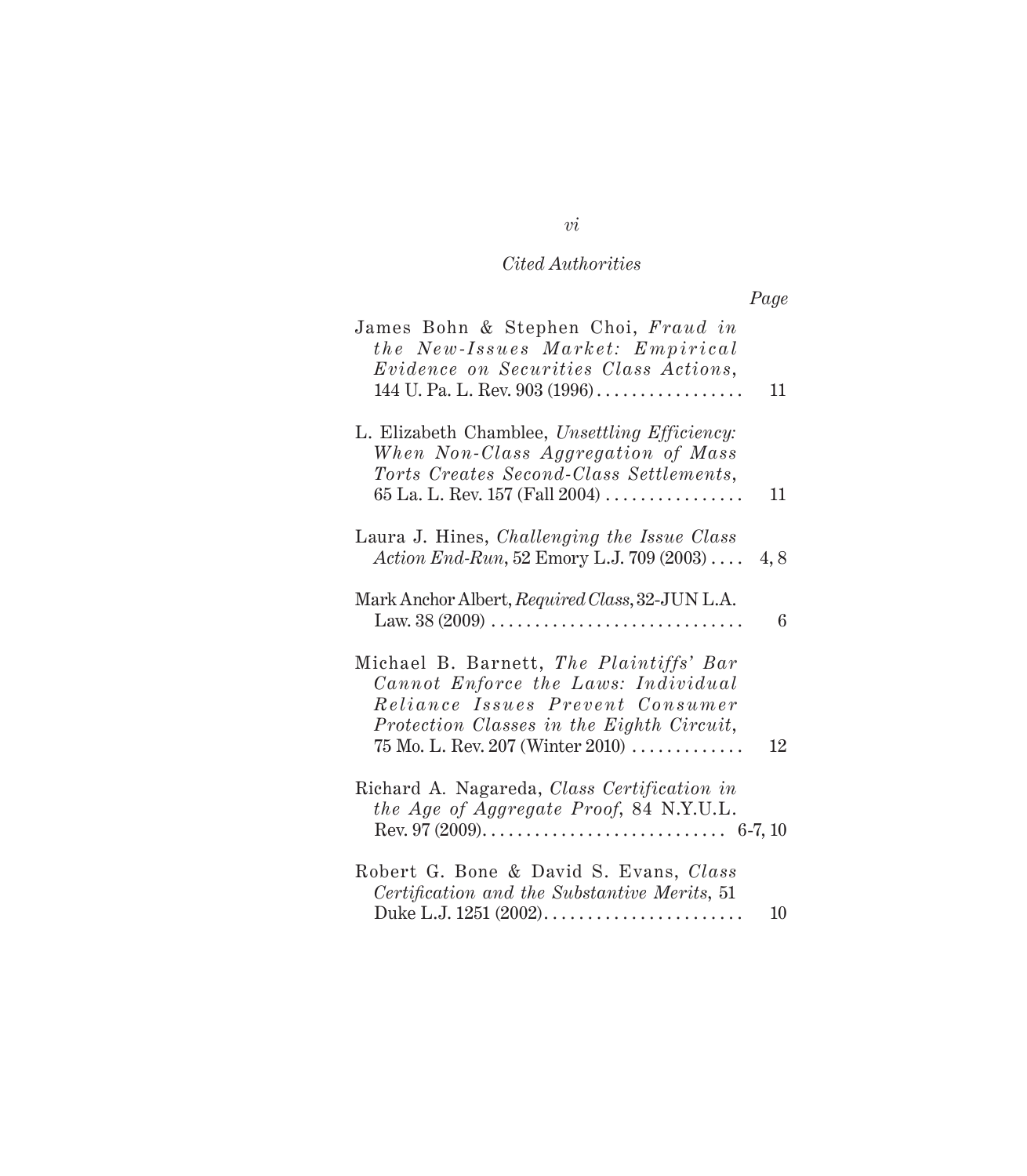|                                                                                                                                                                                                            | Page |
|------------------------------------------------------------------------------------------------------------------------------------------------------------------------------------------------------------|------|
| James Bohn & Stephen Choi, Fraud in<br>the New-Issues Market: Empirical<br>Evidence on Securities Class Actions,<br>144 U. Pa. L. Rev. $903 (1996)$                                                        | 11   |
| L. Elizabeth Chamblee, Unsettling Efficiency:<br>When Non-Class Aggregation of Mass<br>Torts Creates Second-Class Settlements,<br>65 La. L. Rev. 157 (Fall $2004)$                                         | 11   |
| Laura J. Hines, Challenging the Issue Class<br>Action End-Run, 52 Emory L.J. 709 (2003)                                                                                                                    | 4,8  |
| Mark Anchor Albert, Required Class, 32-JUN L.A.<br>Law. $38(2009)$                                                                                                                                         | 6    |
| Michael B. Barnett, The Plaintiffs' Bar<br>Cannot Enforce the Laws: Individual<br>Reliance Issues Prevent Consumer<br>Protection Classes in the Eighth Circuit,<br>$75$ Mo. L. Rev. $207$ (Winter $2010$ ) | 12   |
| Richard A. Nagareda, Class Certification in<br>the Age of Aggregate Proof, 84 N.Y.U.L.                                                                                                                     |      |
| Robert G. Bone & David S. Evans, Class<br>Certification and the Substantive Merits, 51<br>Duke L.J. 1251 (2002)                                                                                            | 10   |

## *vi*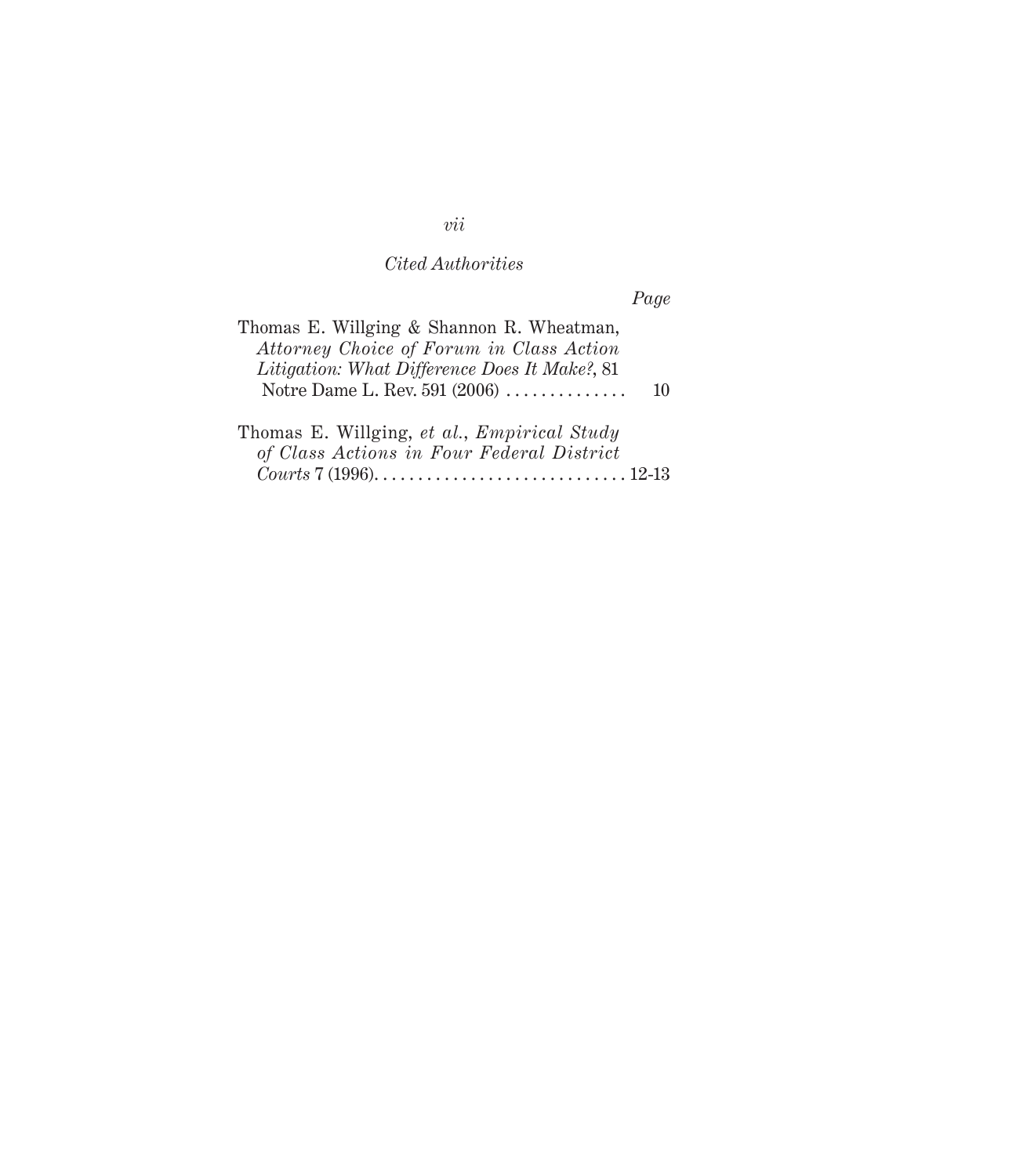*Page*

| Thomas E. Willging & Shannon R. Wheatman,<br>Attorney Choice of Forum in Class Action<br>Litigation: What Difference Does It Make?, 81<br>Notre Dame L. Rev. $591 (2006) \ldots \ldots \ldots \ldots$ | 10 |
|-------------------------------------------------------------------------------------------------------------------------------------------------------------------------------------------------------|----|
| Thomas E. Willging, et al., Empirical Study<br>of Class Actions in Four Federal District                                                                                                              |    |

*vii*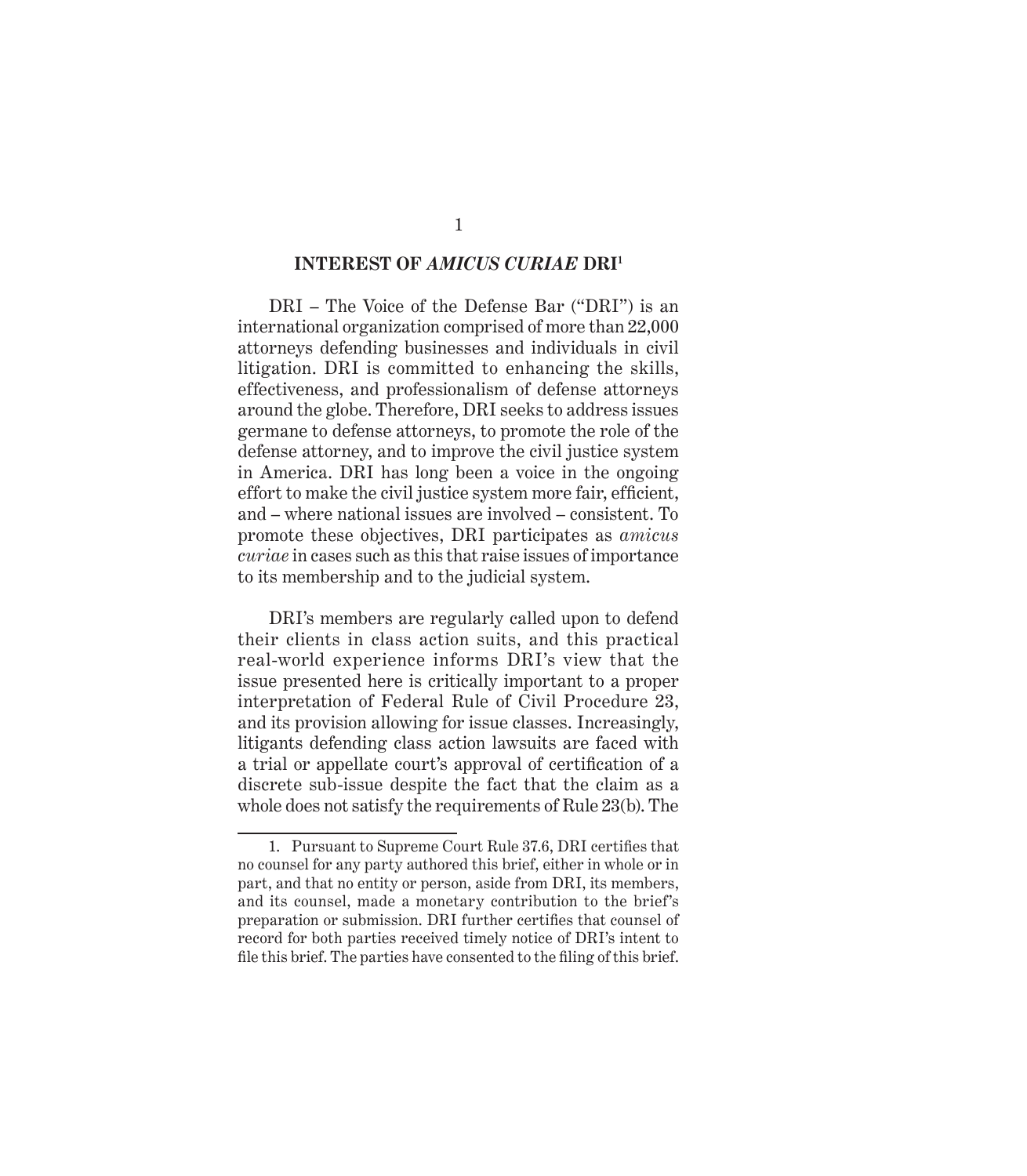#### **INTEREST OF** *AMICUS CURIAE* **DRI1**

DRI – The Voice of the Defense Bar ("DRI") is an international organization comprised of more than 22,000 attorneys defending businesses and individuals in civil litigation. DRI is committed to enhancing the skills, effectiveness, and professionalism of defense attorneys around the globe. Therefore, DRI seeks to address issues germane to defense attorneys, to promote the role of the defense attorney, and to improve the civil justice system in America. DRI has long been a voice in the ongoing effort to make the civil justice system more fair, efficient, and – where national issues are involved – consistent. To promote these objectives, DRI participates as *amicus curiae* in cases such as this that raise issues of importance to its membership and to the judicial system.

DRI's members are regularly called upon to defend their clients in class action suits, and this practical real-world experience informs DRI's view that the issue presented here is critically important to a proper interpretation of Federal Rule of Civil Procedure 23, and its provision allowing for issue classes. Increasingly, litigants defending class action lawsuits are faced with a trial or appellate court's approval of certification of a discrete sub-issue despite the fact that the claim as a whole does not satisfy the requirements of Rule 23(b). The

<sup>1.</sup> Pursuant to Supreme Court Rule 37.6, DRI certifies that no counsel for any party authored this brief, either in whole or in part, and that no entity or person, aside from DRI, its members, and its counsel, made a monetary contribution to the brief's preparation or submission. DRI further certifies that counsel of record for both parties received timely notice of DRI's intent to file this brief. The parties have consented to the filing of this brief.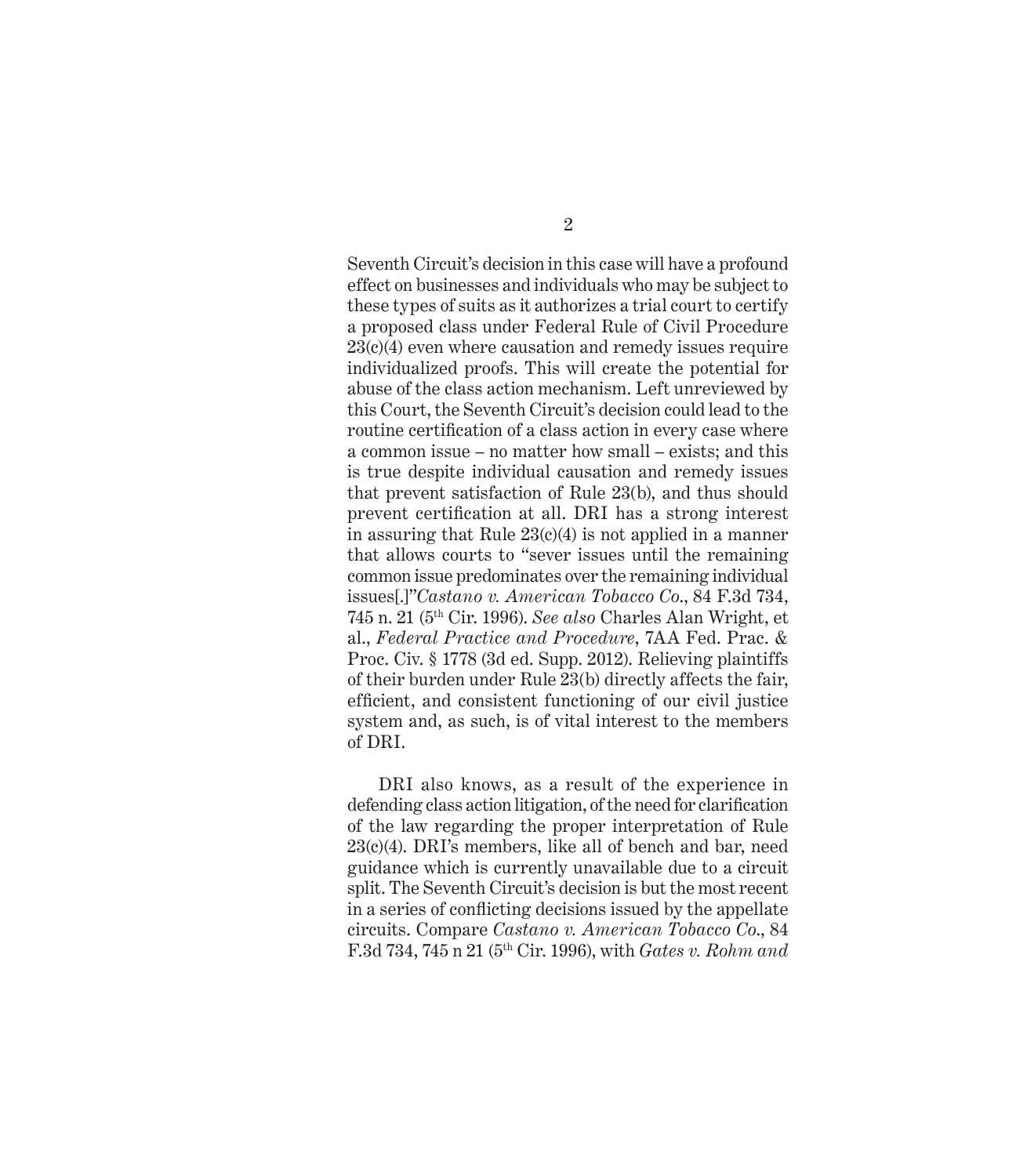Seventh Circuit's decision in this case will have a profound effect on businesses and individuals who may be subject to these types of suits as it authorizes a trial court to certify a proposed class under Federal Rule of Civil Procedure 23(c)(4) even where causation and remedy issues require individualized proofs. This will create the potential for abuse of the class action mechanism. Left unreviewed by this Court, the Seventh Circuit's decision could lead to the routine certification of a class action in every case where a common issue – no matter how small – exists; and this is true despite individual causation and remedy issues that prevent satisfaction of Rule 23(b), and thus should prevent certification at all. DRI has a strong interest in assuring that Rule  $23(c)(4)$  is not applied in a manner that allows courts to "sever issues until the remaining common issue predominates over the remaining individual issues[.]"*Castano v. American Tobacco Co*., 84 F.3d 734, 745 n. 21 (5th Cir. 1996). *See also* Charles Alan Wright, et al., *Federal Practice and Procedure*, 7AA Fed. Prac. & Proc. Civ. § 1778 (3d ed. Supp. 2012). Relieving plaintiffs of their burden under Rule 23(b) directly affects the fair, efficient, and consistent functioning of our civil justice system and, as such, is of vital interest to the members of DRI.

DRI also knows, as a result of the experience in defending class action litigation, of the need for clarification of the law regarding the proper interpretation of Rule 23(c)(4). DRI's members, like all of bench and bar, need guidance which is currently unavailable due to a circuit split. The Seventh Circuit's decision is but the most recent in a series of conflicting decisions issued by the appellate circuits. Compare *Castano v. American Tobacco Co*., 84 F.3d 734, 745 n 21 (5th Cir. 1996), with *Gates v. Rohm and*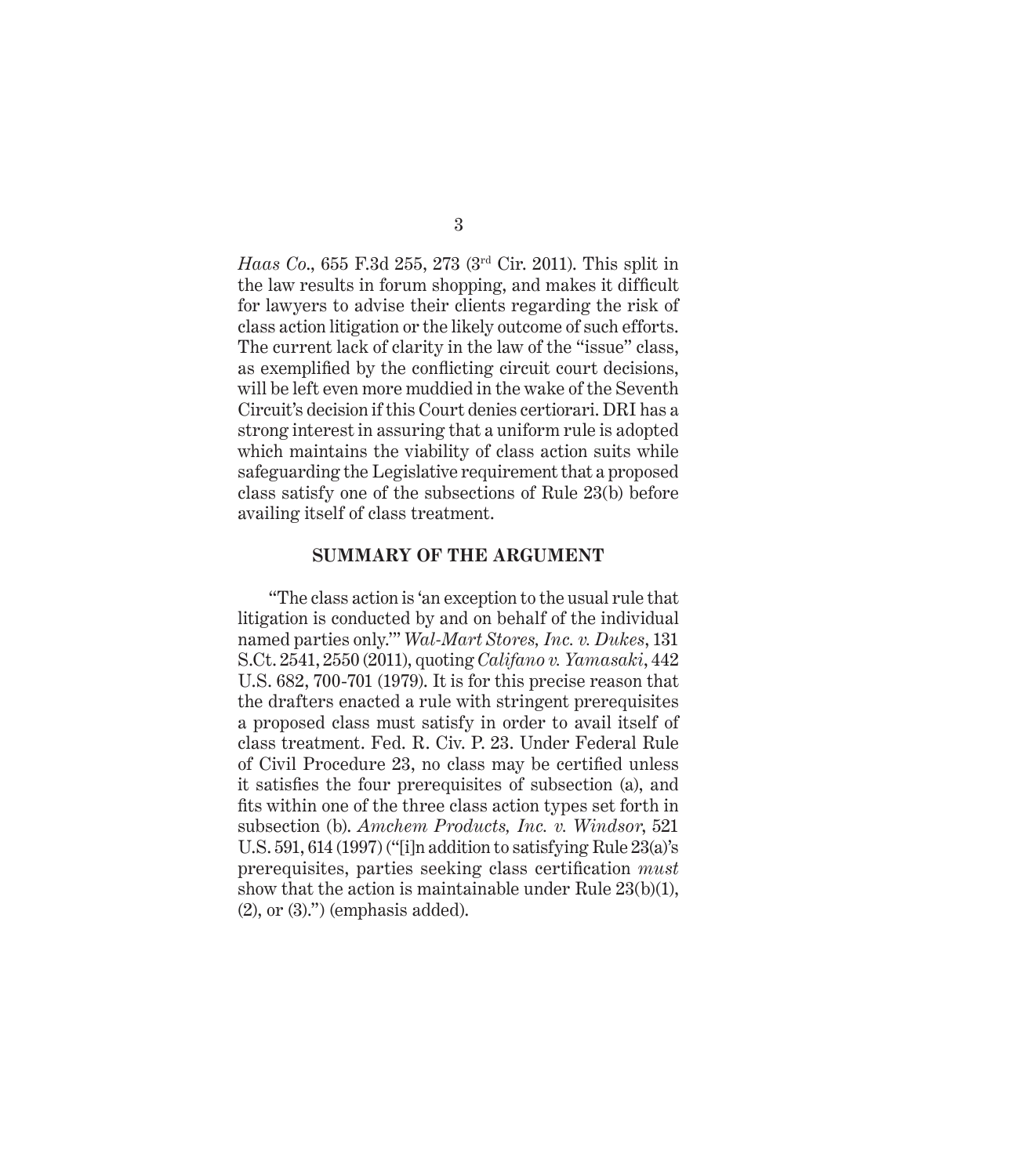*Haas Co*., 655 F.3d 255, 273 (3rd Cir. 2011). This split in the law results in forum shopping, and makes it difficult for lawyers to advise their clients regarding the risk of class action litigation or the likely outcome of such efforts. The current lack of clarity in the law of the "issue" class, as exemplified by the conflicting circuit court decisions, will be left even more muddied in the wake of the Seventh Circuit's decision if this Court denies certiorari. DRI has a strong interest in assuring that a uniform rule is adopted which maintains the viability of class action suits while safeguarding the Legislative requirement that a proposed class satisfy one of the subsections of Rule 23(b) before availing itself of class treatment.

#### **SUMMARY OF THE ARGUMENT**

"The class action is 'an exception to the usual rule that litigation is conducted by and on behalf of the individual named parties only.'" *Wal-Mart Stores, Inc. v. Dukes*, 131 S.Ct. 2541, 2550 (2011), quoting *Califano v. Yamasaki*, 442 U.S. 682, 700-701 (1979). It is for this precise reason that the drafters enacted a rule with stringent prerequisites a proposed class must satisfy in order to avail itself of class treatment. Fed. R. Civ. P. 23. Under Federal Rule of Civil Procedure 23, no class may be certified unless it satisfies the four prerequisites of subsection (a), and fits within one of the three class action types set forth in subsection (b). *Amchem Products, Inc. v. Windsor*, 521 U.S. 591, 614 (1997) ("[i]n addition to satisfying Rule 23(a)'s prerequisites, parties seeking class certification *must* show that the action is maintainable under Rule 23(b)(1), (2), or (3).") (emphasis added).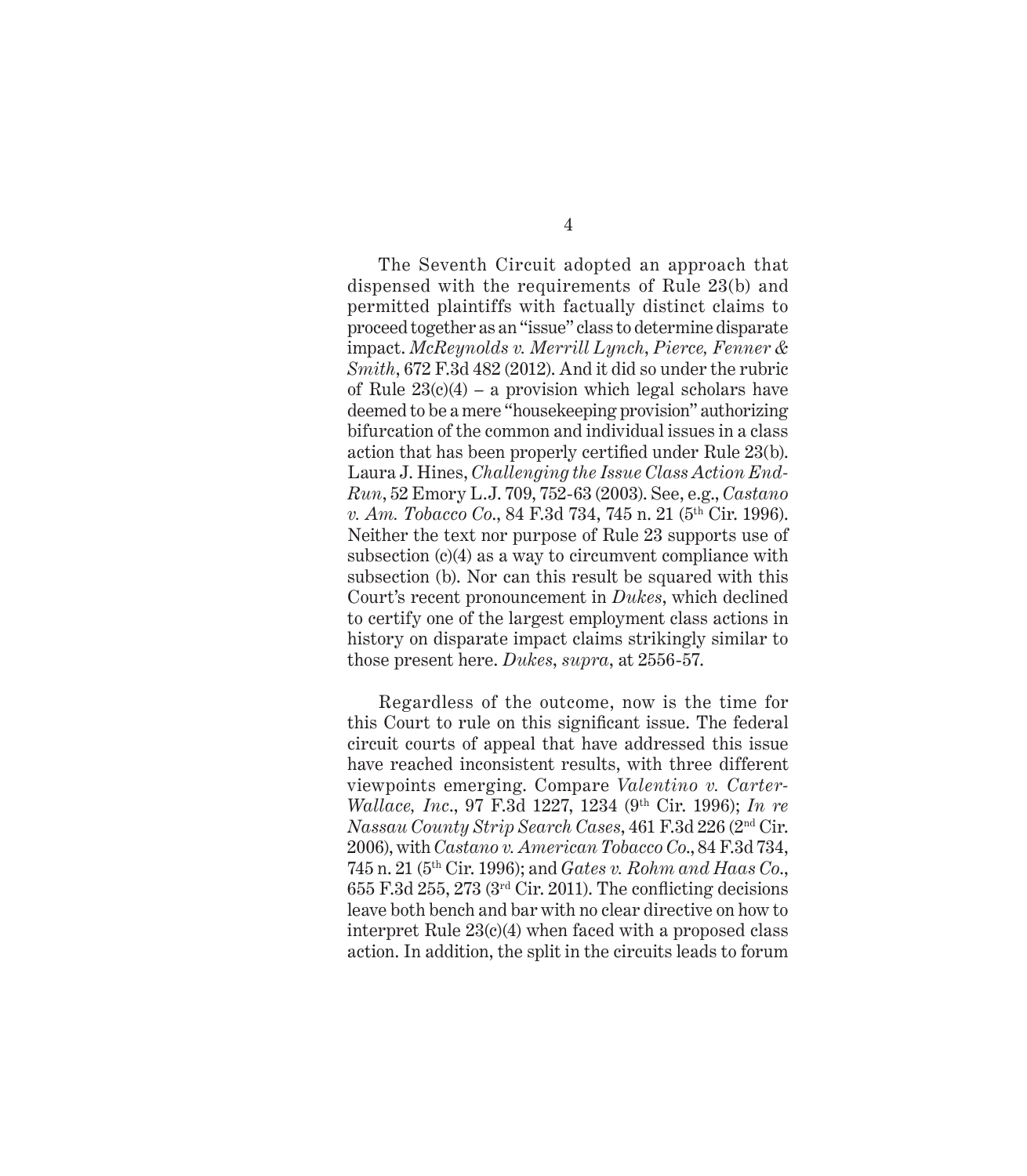The Seventh Circuit adopted an approach that dispensed with the requirements of Rule 23(b) and permitted plaintiffs with factually distinct claims to proceed together as an "issue" class to determine disparate impact. *McReynolds v. Merrill Lynch*, *Pierce, Fenner & Smith*, 672 F.3d 482 (2012). And it did so under the rubric of Rule  $23(c)(4)$  – a provision which legal scholars have deemed to be a mere "housekeeping provision" authorizing bifurcation of the common and individual issues in a class action that has been properly certified under Rule 23(b). Laura J. Hines, *Challenging the Issue Class Action End-Run*, 52 Emory L.J. 709, 752-63 (2003). See, e.g., *Castano v. Am. Tobacco Co.*, 84 F.3d 734, 745 n. 21 (5<sup>th</sup> Cir. 1996). Neither the text nor purpose of Rule 23 supports use of subsection (c)(4) as a way to circumvent compliance with subsection (b). Nor can this result be squared with this Court's recent pronouncement in *Dukes*, which declined to certify one of the largest employment class actions in history on disparate impact claims strikingly similar to those present here. *Dukes*, *supra*, at 2556-57.

Regardless of the outcome, now is the time for this Court to rule on this significant issue. The federal circuit courts of appeal that have addressed this issue have reached inconsistent results, with three different viewpoints emerging. Compare *Valentino v. Carter-Wallace, Inc*., 97 F.3d 1227, 1234 (9th Cir. 1996); *In re Nassau County Strip Search Cases*, 461 F.3d 226 (2nd Cir. 2006), with *Castano v. American Tobacco Co*., 84 F.3d 734, 745 n. 21 (5th Cir. 1996); and *Gates v. Rohm and Haas Co*., 655 F.3d 255, 273 ( $3<sup>rd</sup>$  Cir. 2011). The conflicting decisions leave both bench and bar with no clear directive on how to interpret Rule 23(c)(4) when faced with a proposed class action. In addition, the split in the circuits leads to forum

4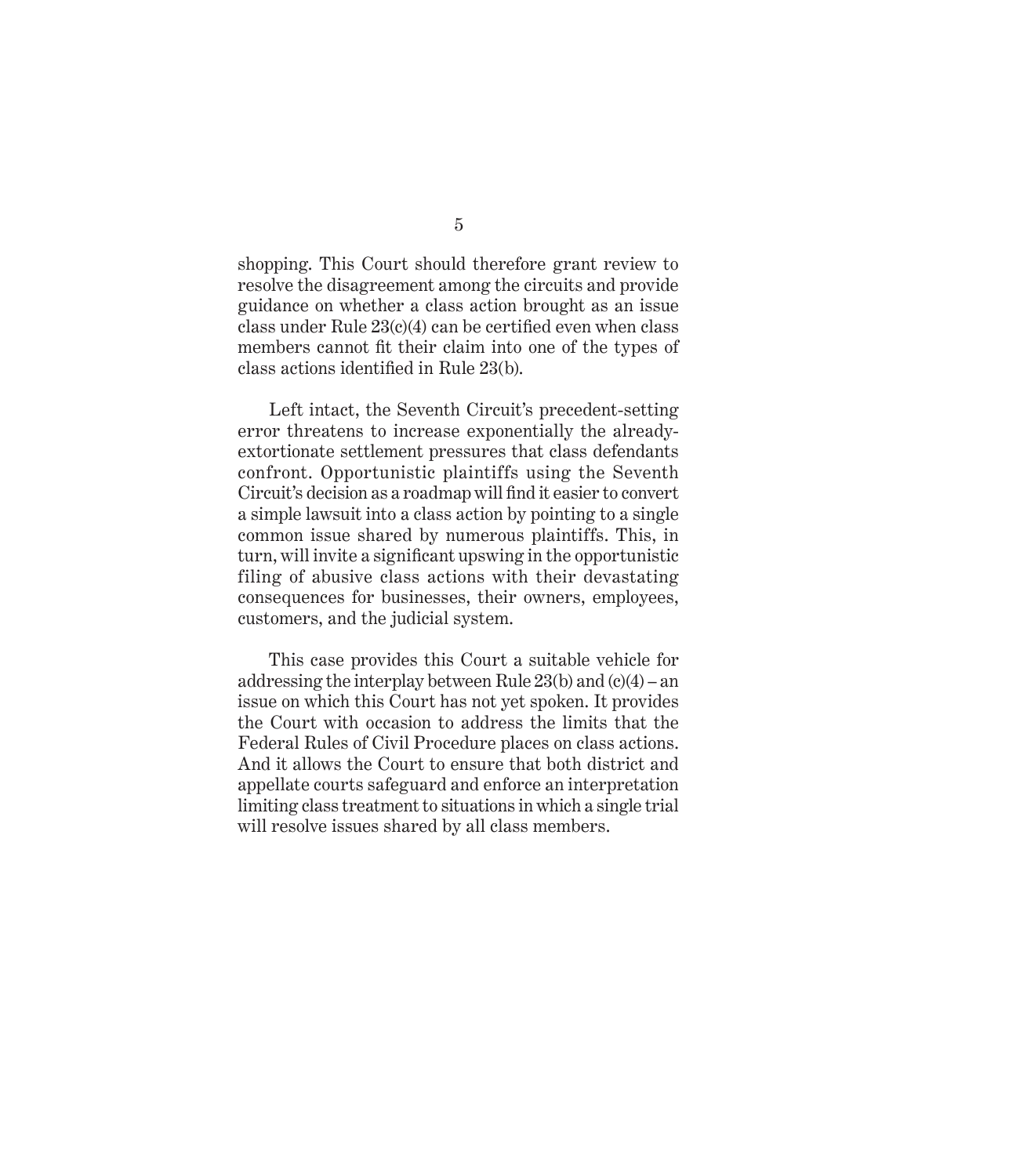shopping. This Court should therefore grant review to resolve the disagreement among the circuits and provide guidance on whether a class action brought as an issue class under Rule  $23(c)(4)$  can be certified even when class members cannot fit their claim into one of the types of class actions identified in Rule 23(b).

Left intact, the Seventh Circuit's precedent-setting error threatens to increase exponentially the alreadyextortionate settlement pressures that class defendants confront. Opportunistic plaintiffs using the Seventh Circuit's decision as a roadmap will find it easier to convert a simple lawsuit into a class action by pointing to a single common issue shared by numerous plaintiffs. This, in turn, will invite a significant upswing in the opportunistic filing of abusive class actions with their devastating consequences for businesses, their owners, employees, customers, and the judicial system.

This case provides this Court a suitable vehicle for addressing the interplay between Rule 23(b) and (c)(4) – an issue on which this Court has not yet spoken. It provides the Court with occasion to address the limits that the Federal Rules of Civil Procedure places on class actions. And it allows the Court to ensure that both district and appellate courts safeguard and enforce an interpretation limiting class treatment to situations in which a single trial will resolve issues shared by all class members.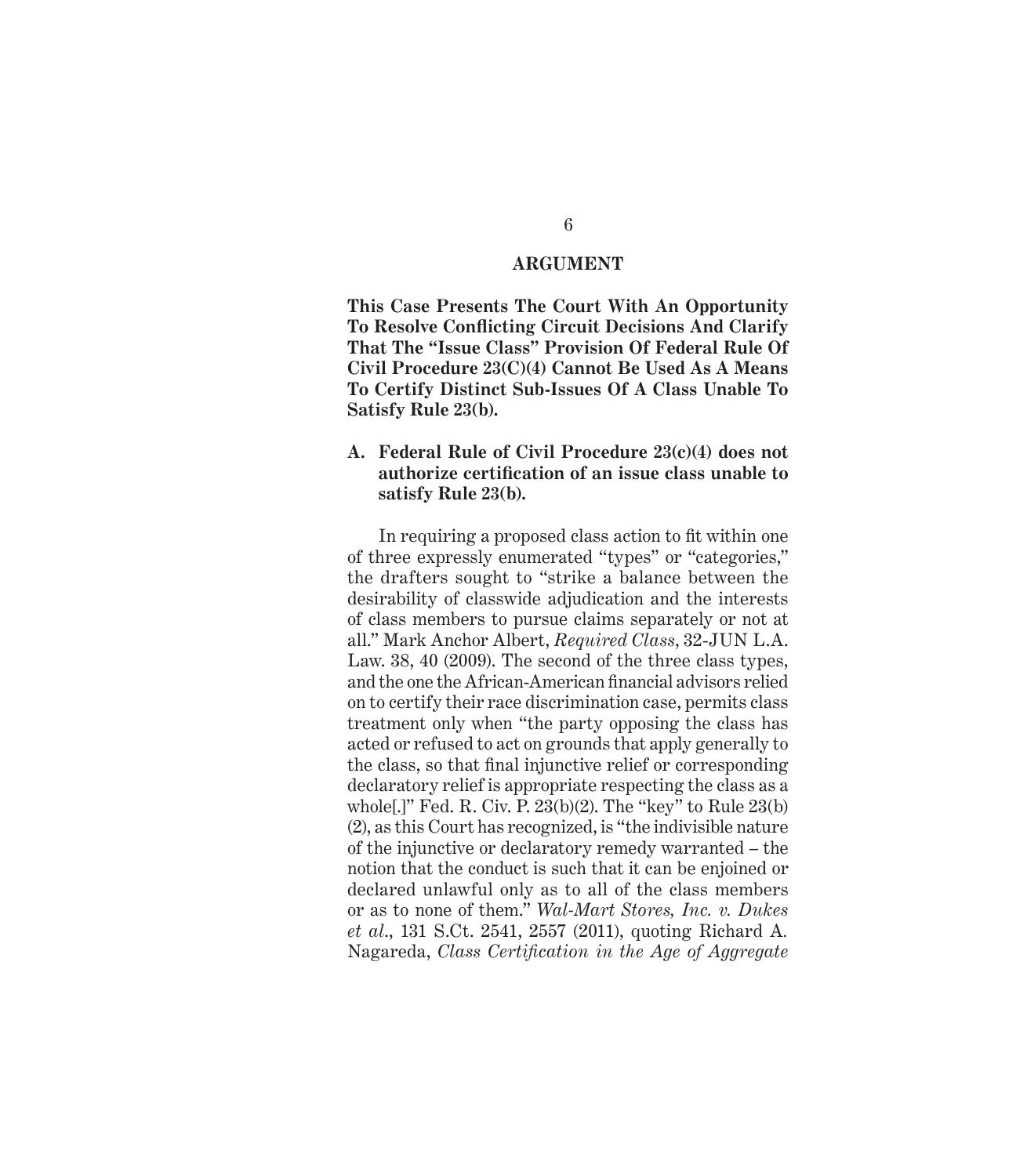#### **ARGUMENT**

**This Case Presents The Court With An Opportunity To Resolve Confl icting Circuit Decisions And Clarify That The "Issue Class" Provision Of Federal Rule Of Civil Procedure 23(C)(4) Cannot Be Used As A Means To Certify Distinct Sub-Issues Of A Class Unable To Satisfy Rule 23(b).**

#### **A. Federal Rule of Civil Procedure 23(c)(4) does not authorize certifi cation of an issue class unable to satisfy Rule 23(b).**

In requiring a proposed class action to fit within one. of three expressly enumerated "types" or "categories," the drafters sought to "strike a balance between the desirability of classwide adjudication and the interests of class members to pursue claims separately or not at all." Mark Anchor Albert, *Required Class*, 32-JUN L.A. Law. 38, 40 (2009). The second of the three class types, and the one the African-American financial advisors relied on to certify their race discrimination case, permits class treatment only when "the party opposing the class has acted or refused to act on grounds that apply generally to the class, so that final injunctive relief or corresponding declaratory relief is appropriate respecting the class as a whole[.]" Fed. R. Civ. P. 23(b)(2). The "key" to Rule 23(b) (2), as this Court has recognized, is "the indivisible nature of the injunctive or declaratory remedy warranted – the notion that the conduct is such that it can be enjoined or declared unlawful only as to all of the class members or as to none of them." *Wal-Mart Stores, Inc. v. Dukes et al*., 131 S.Ct. 2541, 2557 (2011), quoting Richard A*.*  Nagareda, *Class Certification in the Age of Aggregate*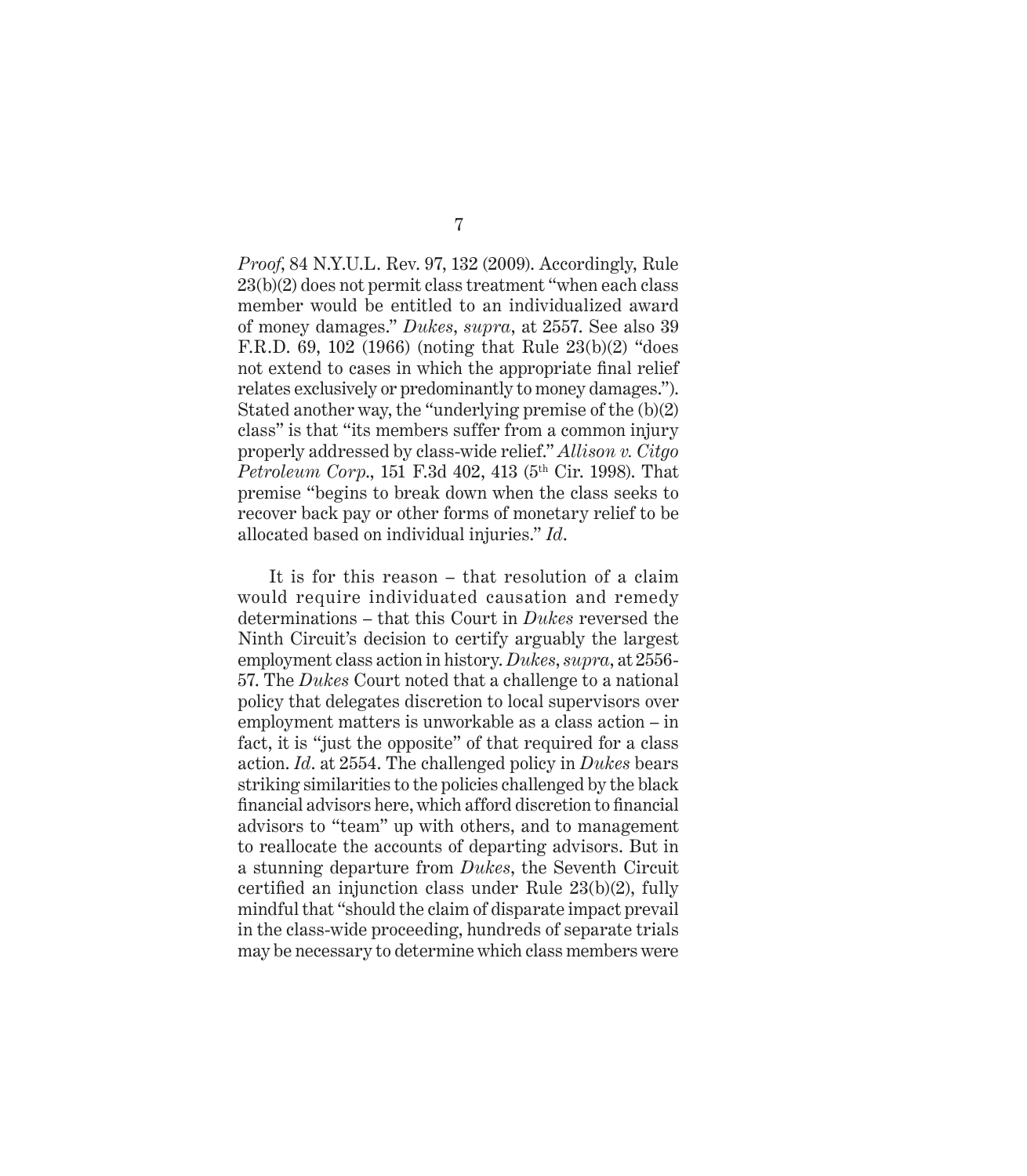*Proof*, 84 N.Y.U.L. Rev. 97, 132 (2009). Accordingly, Rule 23(b)(2) does not permit class treatment "when each class member would be entitled to an individualized award of money damages." *Dukes*, *supra*, at 2557. See also 39 F.R.D. 69, 102 (1966) (noting that Rule 23(b)(2) "does not extend to cases in which the appropriate final relief relates exclusively or predominantly to money damages."). Stated another way, the "underlying premise of the (b)(2) class" is that "its members suffer from a common injury properly addressed by class-wide relief." *Allison v. Citgo Petroleum Corp.*, 151 F.3d 402, 413 (5<sup>th</sup> Cir. 1998). That premise "begins to break down when the class seeks to recover back pay or other forms of monetary relief to be allocated based on individual injuries." *Id*.

It is for this reason – that resolution of a claim would require individuated causation and remedy determinations – that this Court in *Dukes* reversed the Ninth Circuit's decision to certify arguably the largest employment class action in history. *Dukes*, *supra*, at 2556- 57. The *Dukes* Court noted that a challenge to a national policy that delegates discretion to local supervisors over employment matters is unworkable as a class action – in fact, it is "just the opposite" of that required for a class action. *Id*. at 2554. The challenged policy in *Dukes* bears striking similarities to the policies challenged by the black financial advisors here, which afford discretion to financial advisors to "team" up with others, and to management to reallocate the accounts of departing advisors. But in a stunning departure from *Dukes*, the Seventh Circuit certified an injunction class under Rule  $23(b)(2)$ , fully mindful that "should the claim of disparate impact prevail in the class-wide proceeding, hundreds of separate trials may be necessary to determine which class members were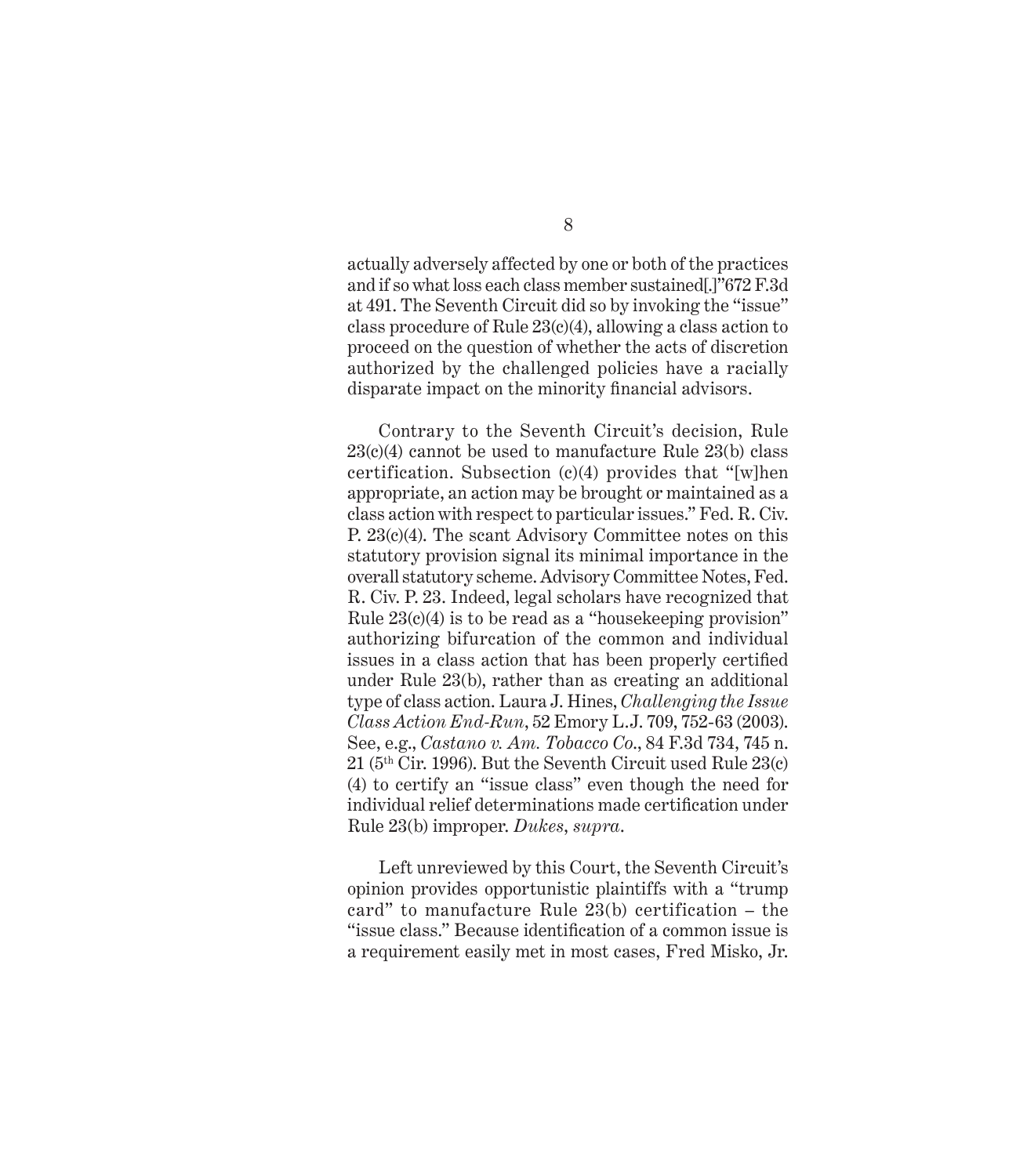actually adversely affected by one or both of the practices and if so what loss each class member sustained[.]"672 F.3d at 491. The Seventh Circuit did so by invoking the "issue" class procedure of Rule 23(c)(4), allowing a class action to proceed on the question of whether the acts of discretion authorized by the challenged policies have a racially disparate impact on the minority financial advisors.

Contrary to the Seventh Circuit's decision, Rule 23(c)(4) cannot be used to manufacture Rule 23(b) class certification. Subsection (c)(4) provides that "[w]hen appropriate, an action may be brought or maintained as a class action with respect to particular issues." Fed. R. Civ. P. 23(c)(4). The scant Advisory Committee notes on this statutory provision signal its minimal importance in the overall statutory scheme. Advisory Committee Notes, Fed. R. Civ. P. 23. Indeed, legal scholars have recognized that Rule 23(c)(4) is to be read as a "housekeeping provision" authorizing bifurcation of the common and individual issues in a class action that has been properly certified under Rule 23(b), rather than as creating an additional type of class action. Laura J. Hines, *Challenging the Issue Class Action End-Run*, 52 Emory L.J. 709, 752-63 (2003). See, e.g., *Castano v. Am. Tobacco Co*., 84 F.3d 734, 745 n. 21 (5th Cir. 1996). But the Seventh Circuit used Rule 23(c) (4) to certify an "issue class" even though the need for individual relief determinations made certification under Rule 23(b) improper. *Dukes*, *supra*.

Left unreviewed by this Court, the Seventh Circuit's opinion provides opportunistic plaintiffs with a "trump card" to manufacture Rule 23(b) certification – the "issue class." Because identification of a common issue is a requirement easily met in most cases, Fred Misko, Jr.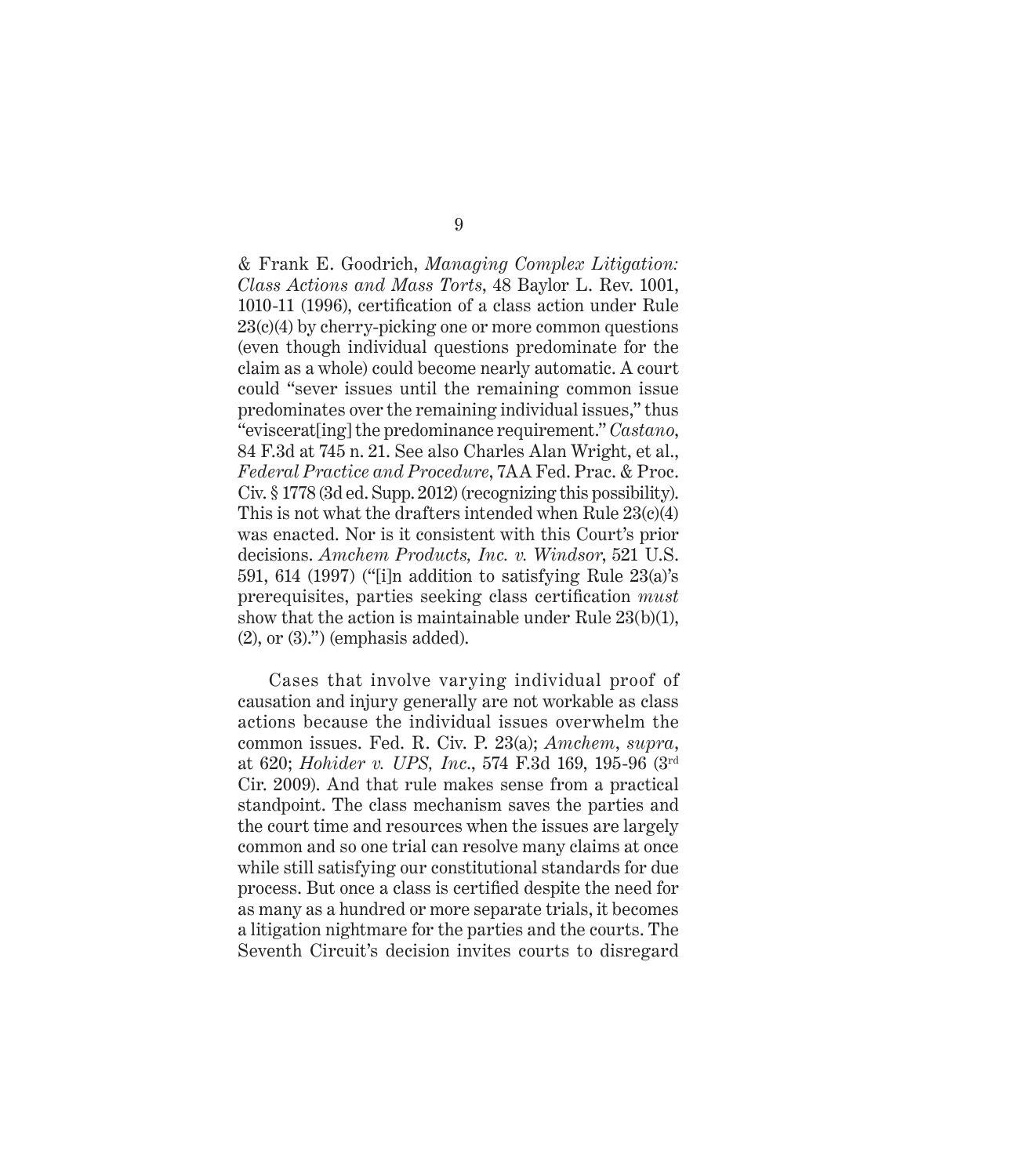& Frank E. Goodrich, *Managing Complex Litigation: Class Actions and Mass Torts*, 48 Baylor L. Rev. 1001, 1010-11 (1996), certification of a class action under Rule 23(c)(4) by cherry-picking one or more common questions (even though individual questions predominate for the claim as a whole) could become nearly automatic. A court could "sever issues until the remaining common issue predominates over the remaining individual issues," thus "eviscerat[ing] the predominance requirement." *Castano*, 84 F.3d at 745 n. 21. See also Charles Alan Wright, et al., *Federal Practice and Procedure*, 7AA Fed. Prac. & Proc. Civ. § 1778 (3d ed. Supp. 2012) (recognizing this possibility). This is not what the drafters intended when Rule 23(c)(4) was enacted. Nor is it consistent with this Court's prior decisions. *Amchem Products, Inc. v. Windsor*, 521 U.S. 591, 614 (1997) ("[i]n addition to satisfying Rule 23(a)'s prerequisites, parties seeking class certification *must* show that the action is maintainable under Rule 23(b)(1),  $(2)$ , or  $(3)$ .") (emphasis added).

Cases that involve varying individual proof of causation and injury generally are not workable as class actions because the individual issues overwhelm the common issues. Fed. R. Civ. P. 23(a); *Amchem*, *supra*, at 620; *Hohider v. UPS, Inc*., 574 F.3d 169, 195-96 (3rd Cir. 2009). And that rule makes sense from a practical standpoint. The class mechanism saves the parties and the court time and resources when the issues are largely common and so one trial can resolve many claims at once while still satisfying our constitutional standards for due process. But once a class is certified despite the need for as many as a hundred or more separate trials, it becomes a litigation nightmare for the parties and the courts. The Seventh Circuit's decision invites courts to disregard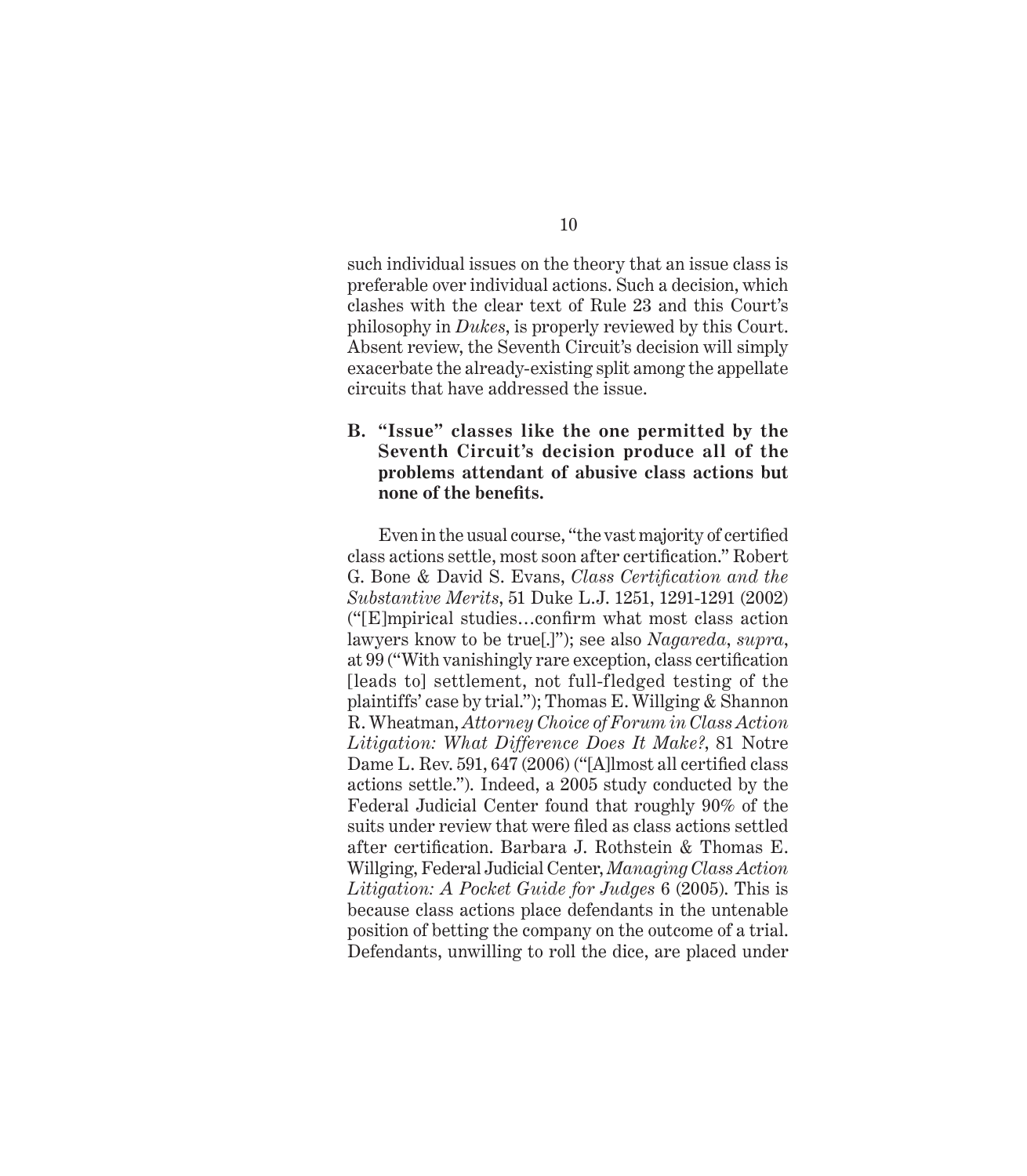such individual issues on the theory that an issue class is preferable over individual actions. Such a decision, which clashes with the clear text of Rule 23 and this Court's philosophy in *Dukes*, is properly reviewed by this Court. Absent review, the Seventh Circuit's decision will simply exacerbate the already-existing split among the appellate circuits that have addressed the issue.

#### **B. "Issue" classes like the one permitted by the Seventh Circuit's decision produce all of the problems attendant of abusive class actions but none of the benefi ts.**

Even in the usual course, "the vast majority of certified class actions settle, most soon after certification." Robert G. Bone & David S. Evans, *Class Certification and the Substantive Merits*, 51 Duke L.J. 1251, 1291-1291 (2002)  $(\text{``[E]}$ mpirical studies...confirm what most class action lawyers know to be true[.]"); see also *Nagareda*, *supra*, at 99 ("With vanishingly rare exception, class certification [leads to] settlement, not full-fledged testing of the plaintiffs' case by trial."); Thomas E. Willging & Shannon R. Wheatman, *Attorney Choice of Forum in Class Action Litigation: What Difference Does It Make?*, 81 Notre Dame L. Rev. 591, 647 (2006) ("[A]lmost all certified class actions settle."). Indeed, a 2005 study conducted by the Federal Judicial Center found that roughly 90% of the suits under review that were filed as class actions settled after certification. Barbara J. Rothstein & Thomas E. Willging, Federal Judicial Center, *Managing Class Action Litigation: A Pocket Guide for Judges* 6 (2005). This is because class actions place defendants in the untenable position of betting the company on the outcome of a trial. Defendants, unwilling to roll the dice, are placed under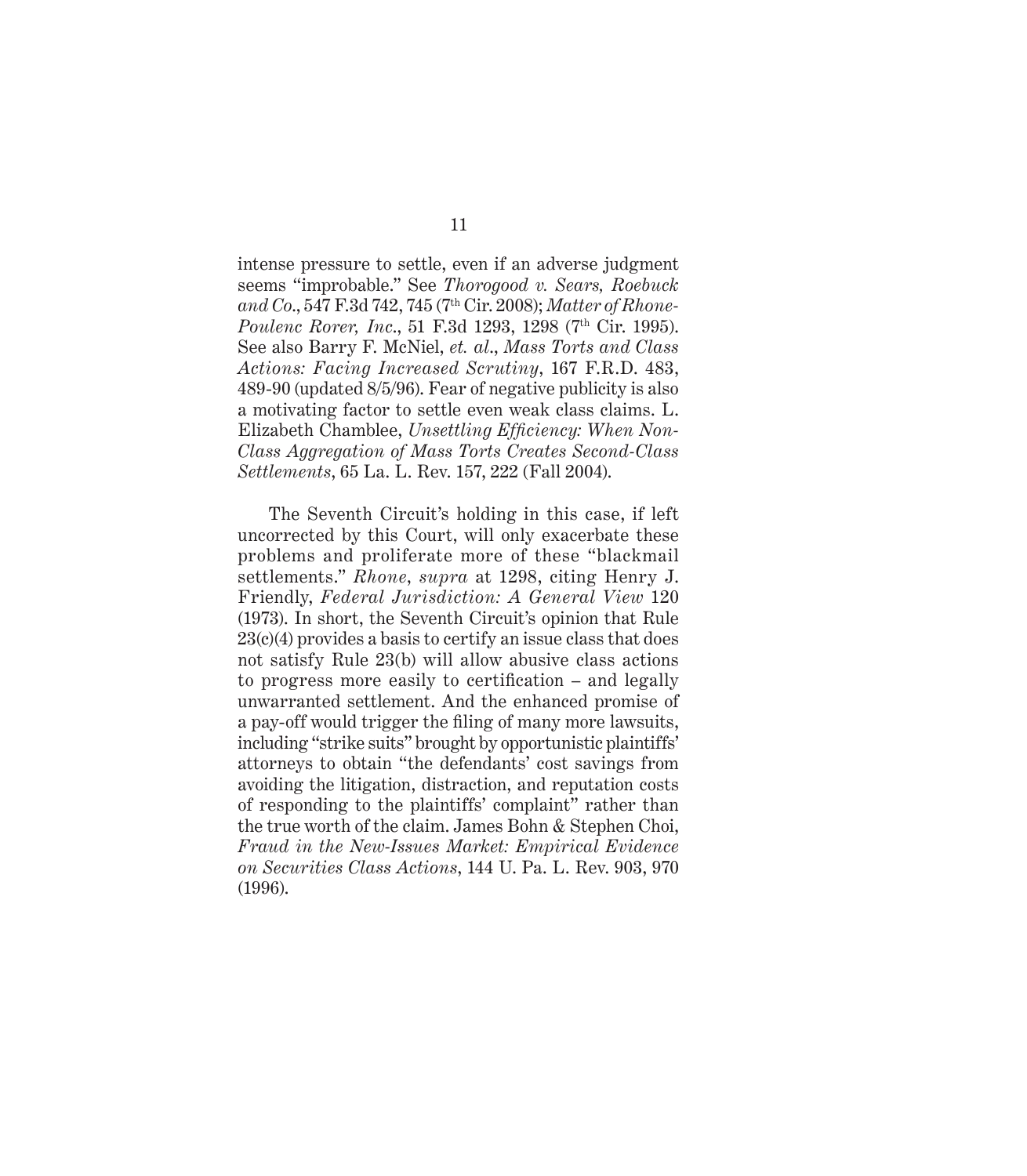intense pressure to settle, even if an adverse judgment seems "improbable." See *Thorogood v. Sears, Roebuck and Co*., 547 F.3d 742, 745 (7th Cir. 2008); *Matter of Rhone-Poulenc Rorer, Inc.*, 51 F.3d 1293, 1298 (7<sup>th</sup> Cir. 1995). See also Barry F. McNiel, *et. al*., *Mass Torts and Class Actions: Facing Increased Scrutiny*, 167 F.R.D. 483, 489-90 (updated 8/5/96). Fear of negative publicity is also a motivating factor to settle even weak class claims. L. Elizabeth Chamblee, *Unsettling Efficiency: When Non-Class Aggregation of Mass Torts Creates Second-Class Settlements*, 65 La. L. Rev. 157, 222 (Fall 2004).

The Seventh Circuit's holding in this case, if left uncorrected by this Court, will only exacerbate these problems and proliferate more of these "blackmail settlements." *Rhone*, *supra* at 1298, citing Henry J. Friendly, *Federal Jurisdiction: A General View* 120 (1973). In short, the Seventh Circuit's opinion that Rule 23(c)(4) provides a basis to certify an issue class that does not satisfy Rule 23(b) will allow abusive class actions to progress more easily to certification  $-$  and legally unwarranted settlement. And the enhanced promise of a pay-off would trigger the filing of many more lawsuits, including "strike suits" brought by opportunistic plaintiffs' attorneys to obtain "the defendants' cost savings from avoiding the litigation, distraction, and reputation costs of responding to the plaintiffs' complaint" rather than the true worth of the claim. James Bohn & Stephen Choi, *Fraud in the New-Issues Market: Empirical Evidence on Securities Class Actions*, 144 U. Pa. L. Rev. 903, 970 (1996).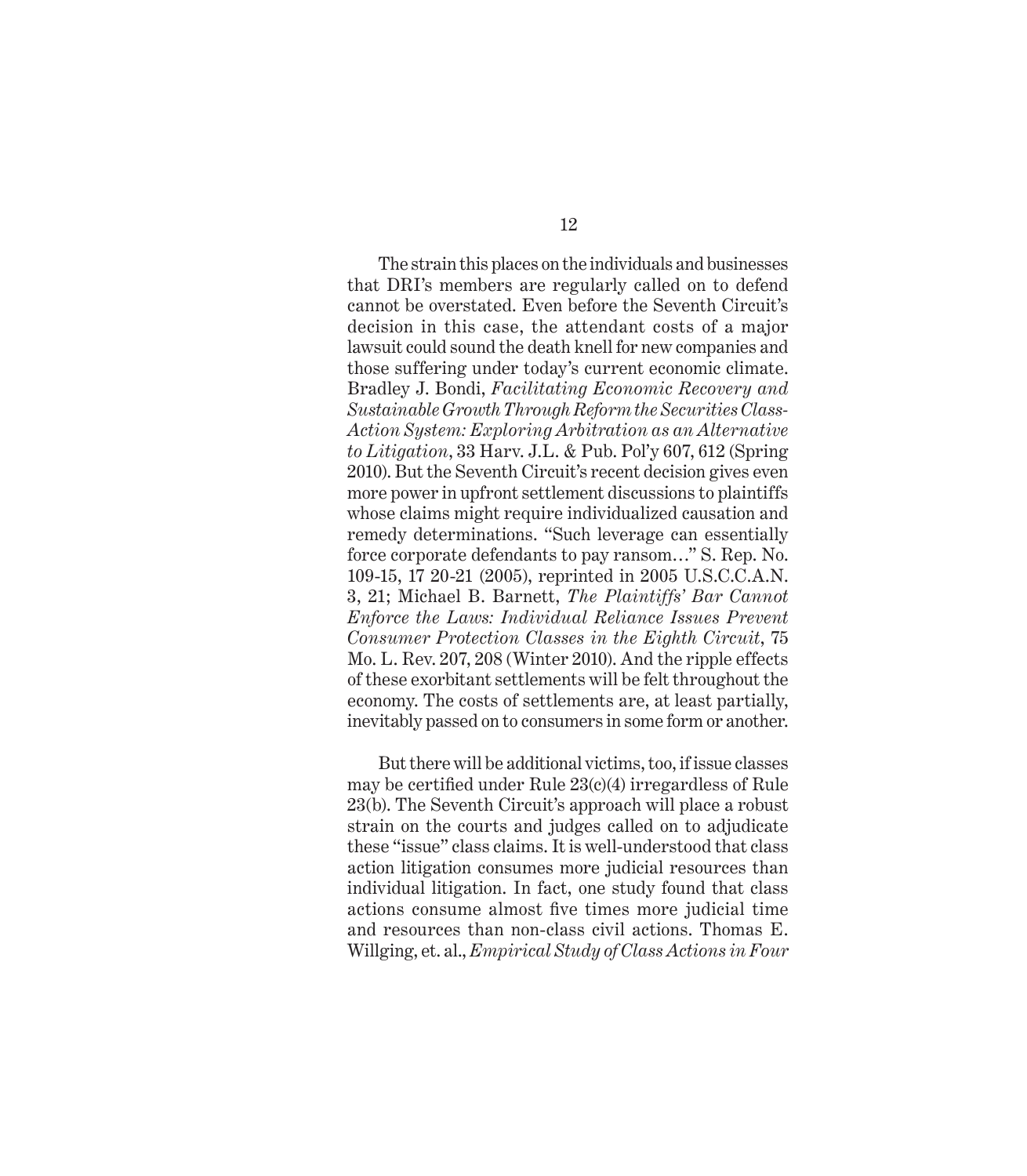The strain this places on the individuals and businesses that DRI's members are regularly called on to defend cannot be overstated. Even before the Seventh Circuit's decision in this case, the attendant costs of a major lawsuit could sound the death knell for new companies and those suffering under today's current economic climate. Bradley J. Bondi, *Facilitating Economic Recovery and Sustainable Growth Through Reform the Securities Class-Action System: Exploring Arbitration as an Alternative to Litigation*, 33 Harv. J.L. & Pub. Pol'y 607, 612 (Spring 2010). But the Seventh Circuit's recent decision gives even more power in upfront settlement discussions to plaintiffs whose claims might require individualized causation and remedy determinations. "Such leverage can essentially force corporate defendants to pay ransom…" S. Rep. No. 109-15, 17 20-21 (2005), reprinted in 2005 U.S.C.C.A.N. 3, 21; Michael B. Barnett, *The Plaintiffs' Bar Cannot Enforce the Laws: Individual Reliance Issues Prevent Consumer Protection Classes in the Eighth Circuit*, 75 Mo. L. Rev. 207, 208 (Winter 2010). And the ripple effects of these exorbitant settlements will be felt throughout the economy. The costs of settlements are, at least partially, inevitably passed on to consumers in some form or another.

But there will be additional victims, too, if issue classes may be certified under Rule  $23(c)(4)$  irregardless of Rule 23(b). The Seventh Circuit's approach will place a robust strain on the courts and judges called on to adjudicate these "issue" class claims. It is well-understood that class action litigation consumes more judicial resources than individual litigation. In fact, one study found that class actions consume almost five times more judicial time and resources than non-class civil actions. Thomas E. Willging, et. al., *Empirical Study of Class Actions in Four*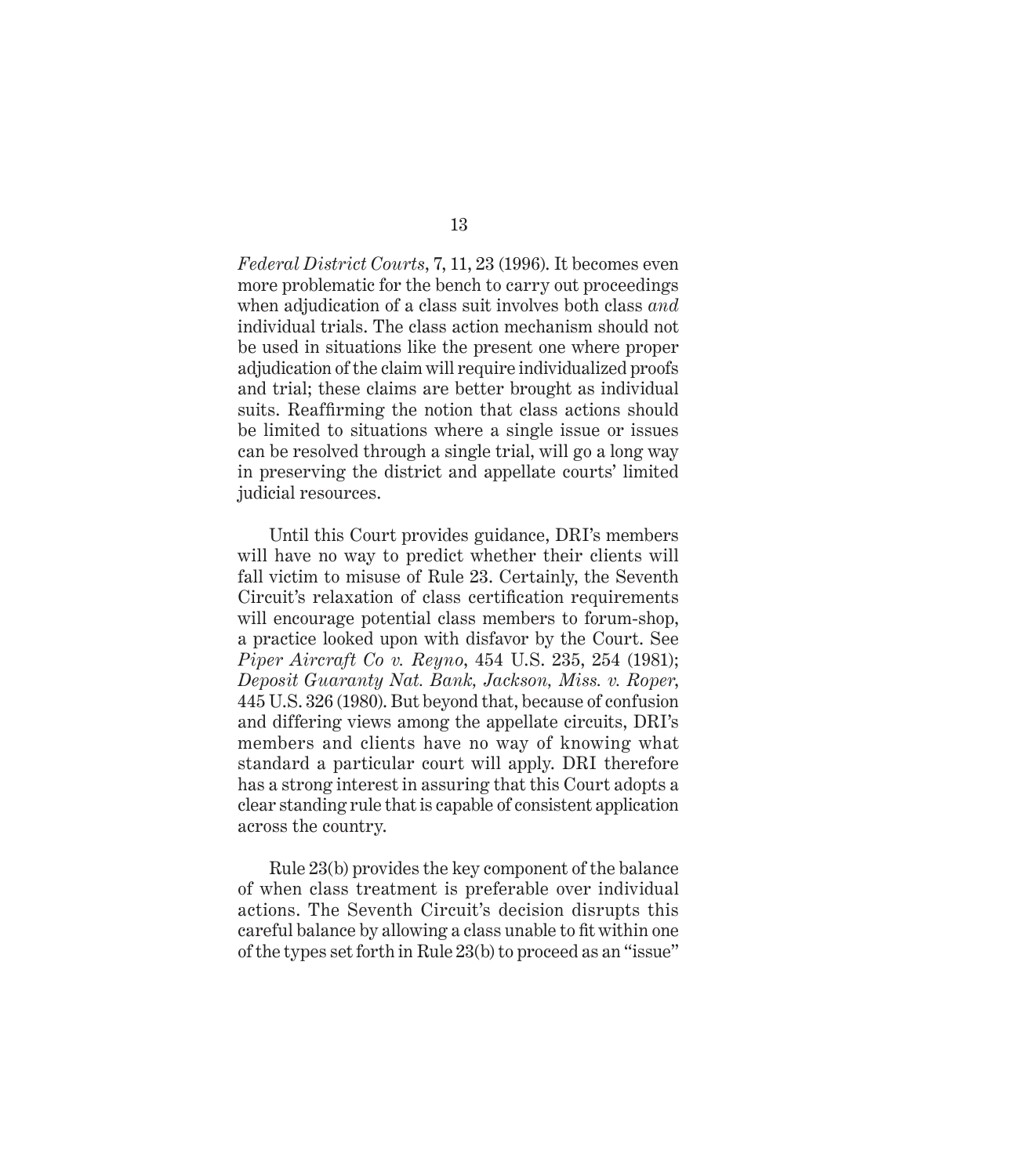*Federal District Courts*, 7, 11, 23 (1996). It becomes even more problematic for the bench to carry out proceedings when adjudication of a class suit involves both class *and* individual trials. The class action mechanism should not be used in situations like the present one where proper adjudication of the claim will require individualized proofs and trial; these claims are better brought as individual suits. Reaffirming the notion that class actions should be limited to situations where a single issue or issues can be resolved through a single trial, will go a long way in preserving the district and appellate courts' limited judicial resources.

Until this Court provides guidance, DRI's members will have no way to predict whether their clients will fall victim to misuse of Rule 23. Certainly, the Seventh Circuit's relaxation of class certification requirements will encourage potential class members to forum-shop, a practice looked upon with disfavor by the Court. See *Piper Aircraft Co v. Reyno*, 454 U.S. 235, 254 (1981); *Deposit Guaranty Nat. Bank, Jackson, Miss. v. Roper*, 445 U.S. 326 (1980). But beyond that, because of confusion and differing views among the appellate circuits, DRI's members and clients have no way of knowing what standard a particular court will apply. DRI therefore has a strong interest in assuring that this Court adopts a clear standing rule that is capable of consistent application across the country.

Rule 23(b) provides the key component of the balance of when class treatment is preferable over individual actions. The Seventh Circuit's decision disrupts this careful balance by allowing a class unable to fit within one of the types set forth in Rule 23(b) to proceed as an "issue"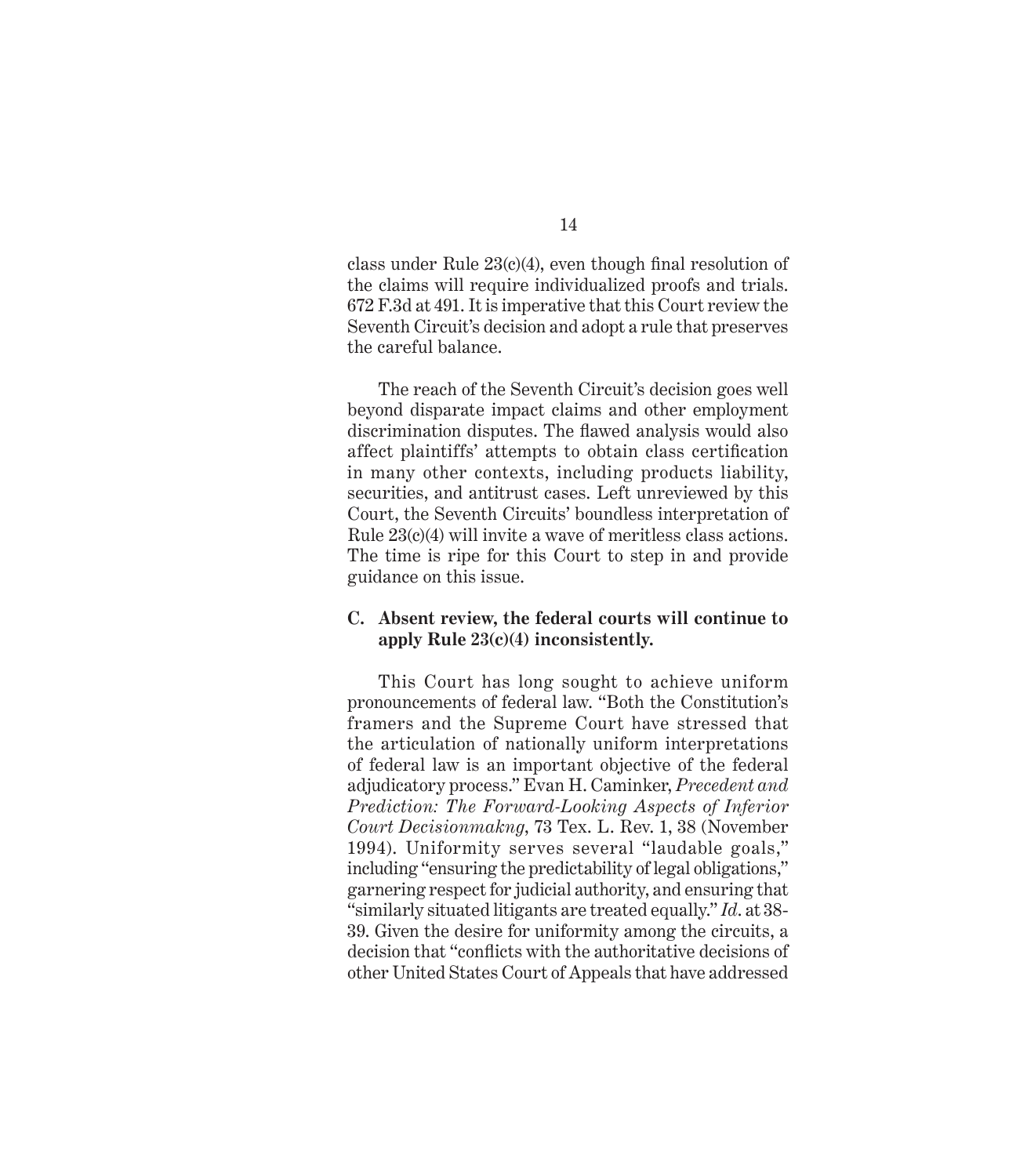class under Rule  $23(c)(4)$ , even though final resolution of the claims will require individualized proofs and trials. 672 F.3d at 491. It is imperative that this Court review the Seventh Circuit's decision and adopt a rule that preserves the careful balance.

The reach of the Seventh Circuit's decision goes well beyond disparate impact claims and other employment discrimination disputes. The flawed analysis would also affect plaintiffs' attempts to obtain class certification in many other contexts, including products liability, securities, and antitrust cases. Left unreviewed by this Court, the Seventh Circuits' boundless interpretation of Rule 23(c)(4) will invite a wave of meritless class actions. The time is ripe for this Court to step in and provide guidance on this issue.

#### **C. Absent review, the federal courts will continue to apply Rule 23(c)(4) inconsistently.**

This Court has long sought to achieve uniform pronouncements of federal law. "Both the Constitution's framers and the Supreme Court have stressed that the articulation of nationally uniform interpretations of federal law is an important objective of the federal adjudicatory process." Evan H. Caminker, *Precedent and Prediction: The Forward-Looking Aspects of Inferior Court Decisionmakng*, 73 Tex. L. Rev. 1, 38 (November 1994). Uniformity serves several "laudable goals," including "ensuring the predictability of legal obligations," garnering respect for judicial authority, and ensuring that "similarly situated litigants are treated equally." *Id*. at 38- 39. Given the desire for uniformity among the circuits, a decision that "conflicts with the authoritative decisions of other United States Court of Appeals that have addressed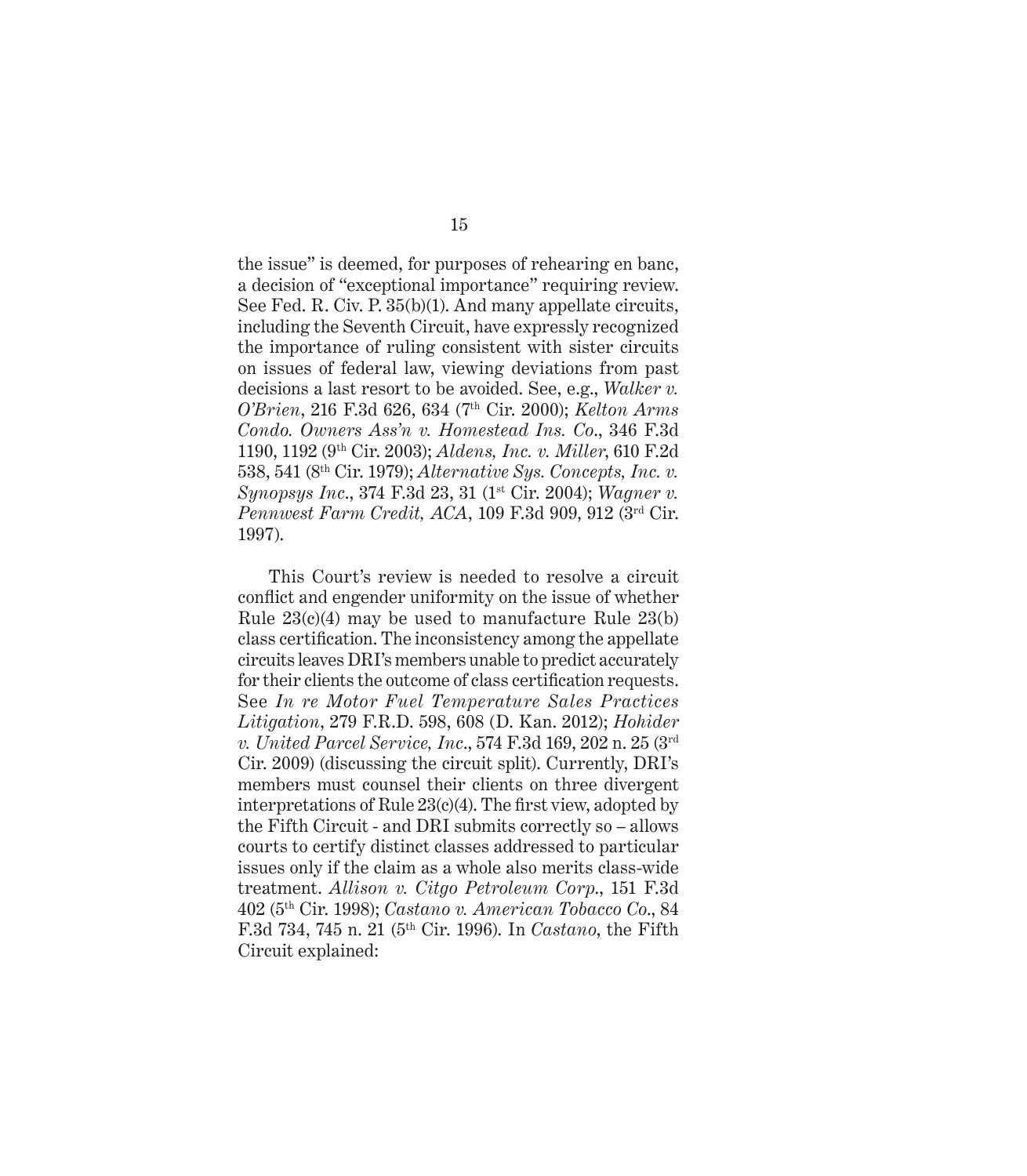the issue" is deemed, for purposes of rehearing en banc, a decision of "exceptional importance" requiring review. See Fed. R. Civ. P. 35(b)(1). And many appellate circuits, including the Seventh Circuit, have expressly recognized the importance of ruling consistent with sister circuits on issues of federal law, viewing deviations from past decisions a last resort to be avoided. See, e.g., *Walker v. O'Brien*, 216 F.3d 626, 634 (7th Cir. 2000); *Kelton Arms Condo. Owners Ass'n v. Homestead Ins. Co*., 346 F.3d 1190, 1192 (9th Cir. 2003); *Aldens, Inc. v. Miller*, 610 F.2d 538, 541 (8th Cir. 1979); *Alternative Sys. Concepts, Inc. v. Synopsys Inc.*, 374 F.3d 23, 31 (1<sup>st</sup> Cir. 2004); *Wagner v. Pennwest Farm Credit, ACA*, 109 F.3d 909, 912 (3rd Cir. 1997).

This Court's review is needed to resolve a circuit conflict and engender uniformity on the issue of whether Rule  $23(c)(4)$  may be used to manufacture Rule  $23(b)$ class certification. The inconsistency among the appellate circuits leaves DRI's members unable to predict accurately for their clients the outcome of class certification requests. See *In re Motor Fuel Temperature Sales Practices Litigation*, 279 F.R.D. 598, 608 (D. Kan. 2012); *Hohider v. United Parcel Service, Inc*., 574 F.3d 169, 202 n. 25 (3rd Cir. 2009) (discussing the circuit split). Currently, DRI's members must counsel their clients on three divergent interpretations of Rule  $23(c)(4)$ . The first view, adopted by the Fifth Circuit - and DRI submits correctly so – allows courts to certify distinct classes addressed to particular issues only if the claim as a whole also merits class-wide treatment. *Allison v. Citgo Petroleum Corp*., 151 F.3d 402 (5th Cir. 1998); *Castano v. American Tobacco Co*., 84 F.3d 734, 745 n. 21 (5th Cir. 1996). In *Castano*, the Fifth Circuit explained: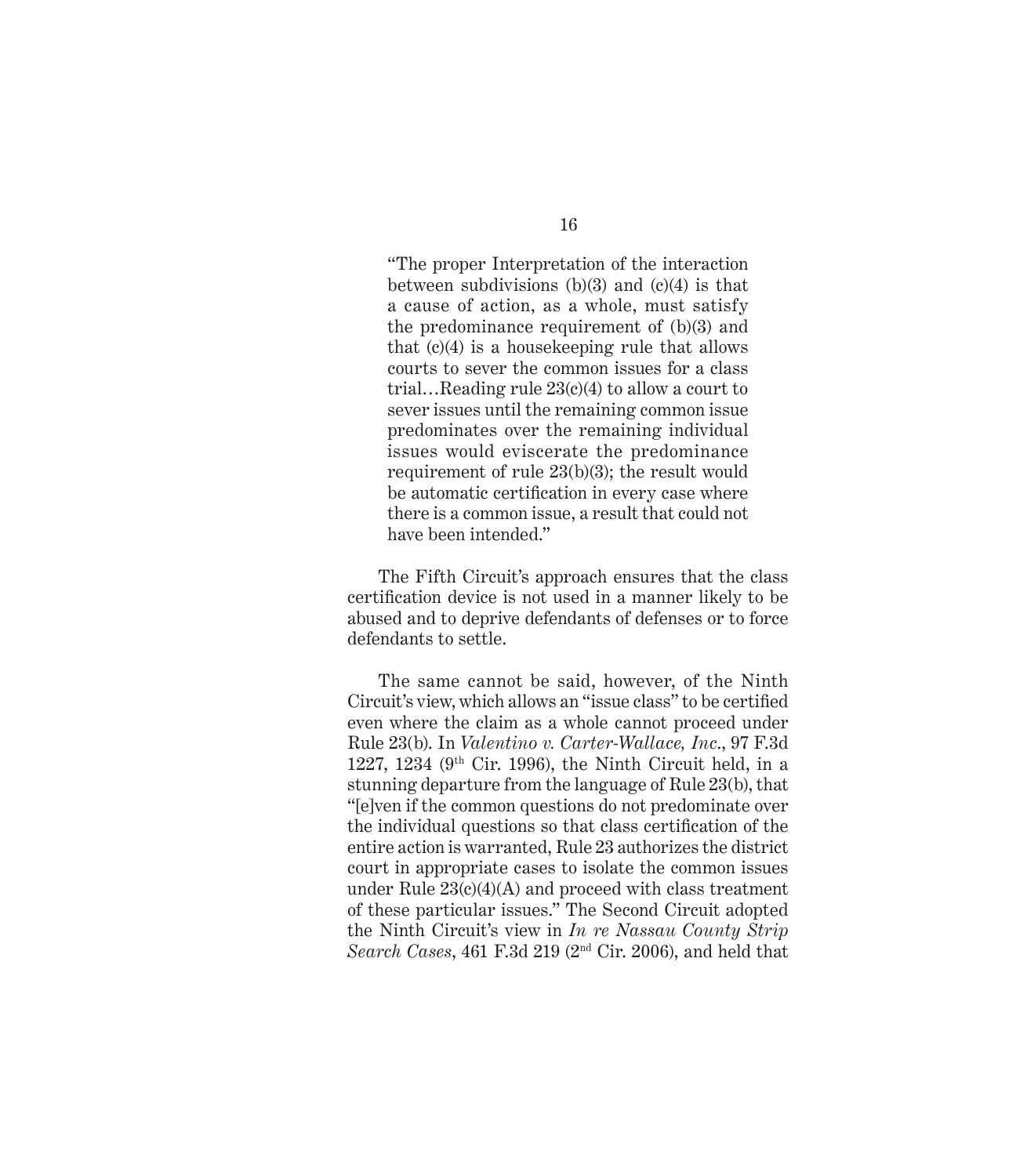"The proper Interpretation of the interaction between subdivisions  $(b)(3)$  and  $(c)(4)$  is that a cause of action, as a whole, must satisfy the predominance requirement of (b)(3) and that  $(c)(4)$  is a house keeping rule that allows courts to sever the common issues for a class trial…Reading rule 23(c)(4) to allow a court to sever issues until the remaining common issue predominates over the remaining individual issues would eviscerate the predominance requirement of rule 23(b)(3); the result would be automatic certification in every case where there is a common issue, a result that could not have been intended."

The Fifth Circuit's approach ensures that the class certification device is not used in a manner likely to be abused and to deprive defendants of defenses or to force defendants to settle.

The same cannot be said, however, of the Ninth Circuit's view, which allows an "issue class" to be certified even where the claim as a whole cannot proceed under Rule 23(b). In *Valentino v. Carter-Wallace, Inc*., 97 F.3d 1227, 1234 ( $9<sup>th</sup>$  Cir. 1996), the Ninth Circuit held, in a stunning departure from the language of Rule 23(b), that "[e]ven if the common questions do not predominate over the individual questions so that class certification of the entire action is warranted, Rule 23 authorizes the district court in appropriate cases to isolate the common issues under Rule 23(c)(4)(A) and proceed with class treatment of these particular issues." The Second Circuit adopted the Ninth Circuit's view in *In re Nassau County Strip Search Cases*, 461 F.3d 219 (2nd Cir. 2006), and held that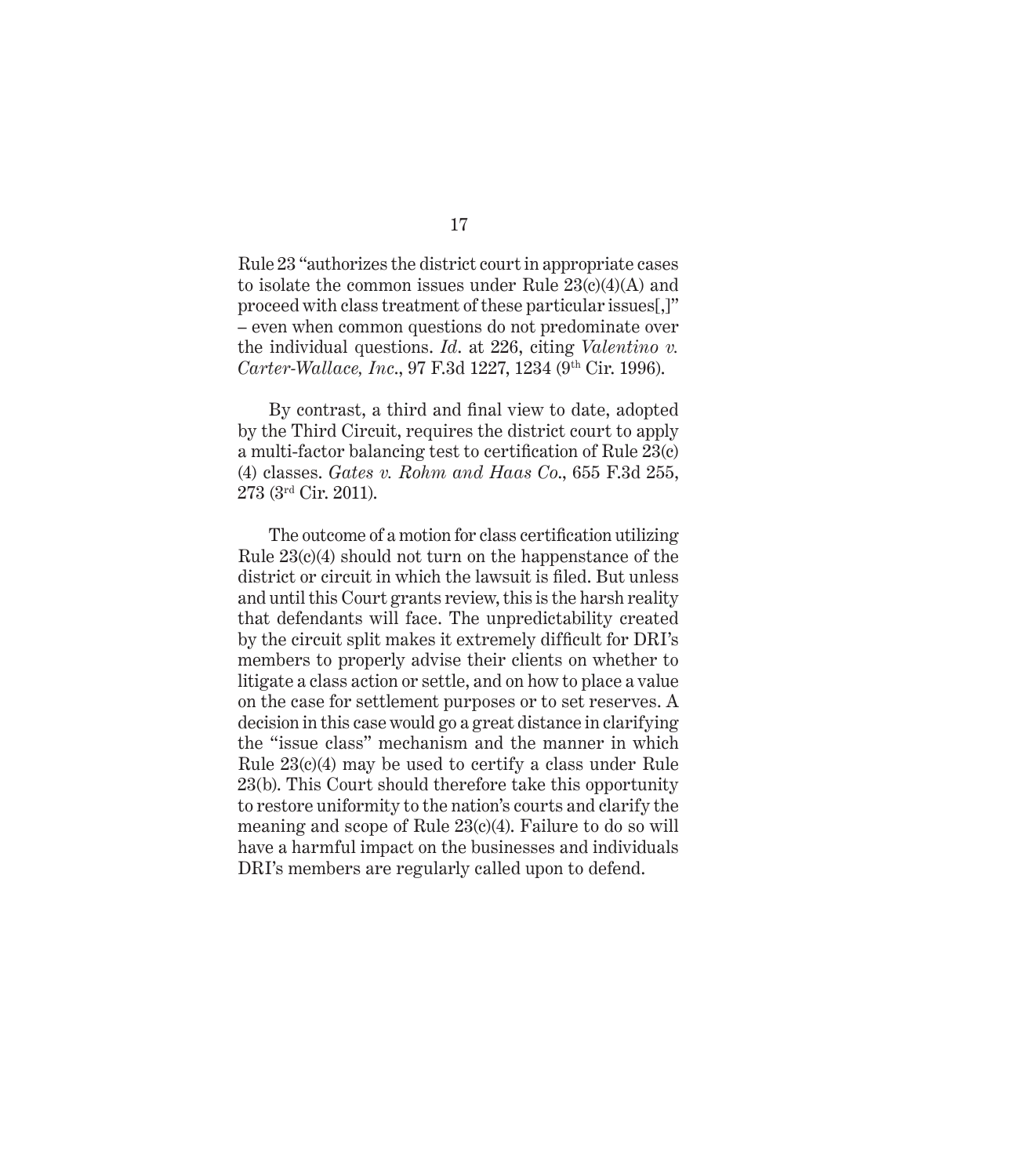Rule 23 "authorizes the district court in appropriate cases to isolate the common issues under Rule  $23(c)(4)(A)$  and proceed with class treatment of these particular issues[,]" – even when common questions do not predominate over the individual questions. *Id*. at 226, citing *Valentino v. Carter-Wallace, Inc*., 97 F.3d 1227, 1234 (9th Cir. 1996).

By contrast, a third and final view to date, adopted by the Third Circuit, requires the district court to apply a multi-factor balancing test to certification of Rule  $23(c)$ (4) classes. *Gates v. Rohm and Haas Co*., 655 F.3d 255, 273 (3rd Cir. 2011).

The outcome of a motion for class certification utilizing Rule 23(c)(4) should not turn on the happenstance of the district or circuit in which the lawsuit is filed. But unless and until this Court grants review, this is the harsh reality that defendants will face. The unpredictability created by the circuit split makes it extremely difficult for DRI's members to properly advise their clients on whether to litigate a class action or settle, and on how to place a value on the case for settlement purposes or to set reserves. A decision in this case would go a great distance in clarifying the "issue class" mechanism and the manner in which Rule 23(c)(4) may be used to certify a class under Rule 23(b). This Court should therefore take this opportunity to restore uniformity to the nation's courts and clarify the meaning and scope of Rule 23(c)(4). Failure to do so will have a harmful impact on the businesses and individuals DRI's members are regularly called upon to defend.